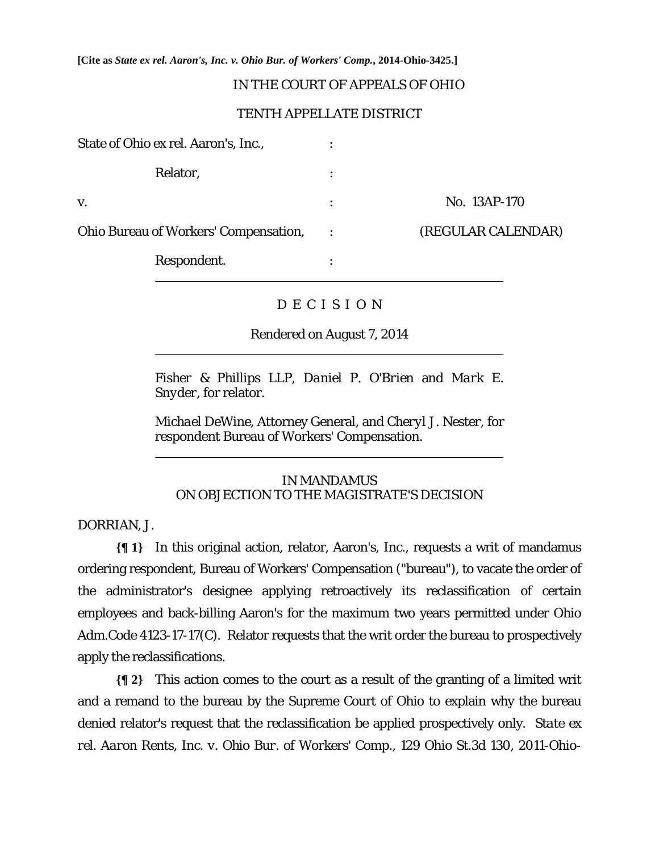**[Cite as** *State ex rel. Aaron's, Inc. v. Ohio Bur. of Workers' Comp.***, 2014-Ohio-3425.]**

# IN THE COURT OF APPEALS OF OHIO

## TENTH APPELLATE DISTRICT

| No. 13AP-170       |
|--------------------|
| (REGULAR CALENDAR) |
|                    |
|                    |

# D E C I S I O N

Rendered on August 7, 2014

*Fisher & Phillips LLP, Daniel P. O'Brien* and *Mark E. Snyder*, for relator.

*Michael DeWine*, Attorney General, and *Cheryl J. Nester*, for respondent Bureau of Workers' Compensation.

# IN MANDAMUS ON OBJECTION TO THE MAGISTRATE'S DECISION

DORRIAN, J.

 $\overline{a}$ 

 $\overline{a}$ 

**{¶ 1}** In this original action, relator, Aaron's, Inc., requests a writ of mandamus ordering respondent, Bureau of Workers' Compensation ("bureau"), to vacate the order of the administrator's designee applying retroactively its reclassification of certain employees and back-billing Aaron's for the maximum two years permitted under Ohio Adm.Code 4123-17-17(C). Relator requests that the writ order the bureau to prospectively apply the reclassifications.

**{¶ 2}** This action comes to the court as a result of the granting of a limited writ and a remand to the bureau by the Supreme Court of Ohio to explain why the bureau denied relator's request that the reclassification be applied prospectively only. *State ex rel. Aaron Rents, Inc. v. Ohio Bur. of Workers' Comp.*, 129 Ohio St.3d 130, 2011-Ohio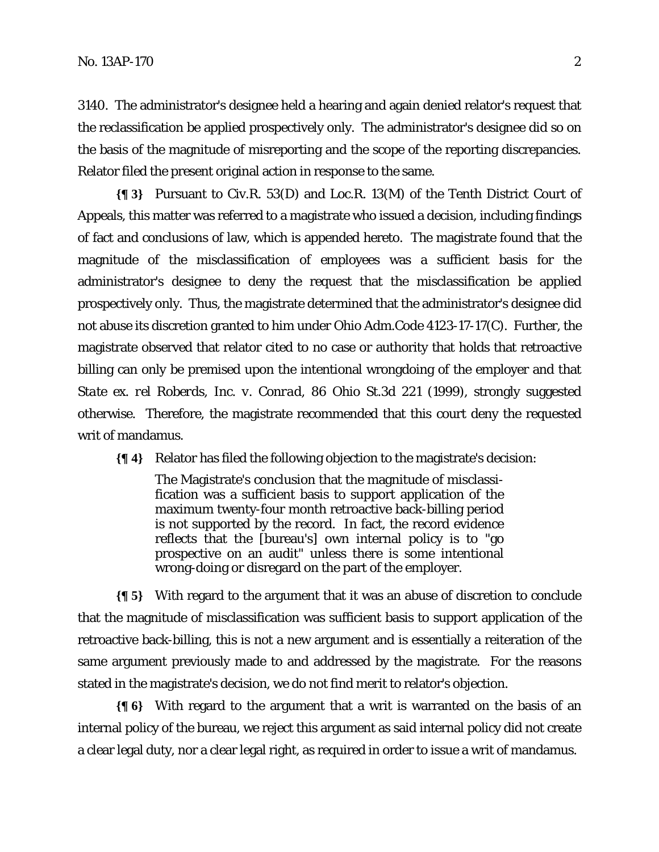3140. The administrator's designee held a hearing and again denied relator's request that the reclassification be applied prospectively only. The administrator's designee did so on the basis of the magnitude of misreporting and the scope of the reporting discrepancies. Relator filed the present original action in response to the same.

**{¶ 3}** Pursuant to Civ.R. 53(D) and Loc.R. 13(M) of the Tenth District Court of Appeals, this matter was referred to a magistrate who issued a decision, including findings of fact and conclusions of law, which is appended hereto. The magistrate found that the magnitude of the misclassification of employees was a sufficient basis for the administrator's designee to deny the request that the misclassification be applied prospectively only. Thus, the magistrate determined that the administrator's designee did not abuse its discretion granted to him under Ohio Adm.Code 4123-17-17(C). Further, the magistrate observed that relator cited to no case or authority that holds that retroactive billing can only be premised upon the intentional wrongdoing of the employer and that *State ex. rel Roberds, Inc. v. Conrad*, 86 Ohio St.3d 221 (1999), strongly suggested otherwise. Therefore, the magistrate recommended that this court deny the requested writ of mandamus.

**{¶ 4}** Relator has filed the following objection to the magistrate's decision:

The Magistrate's conclusion that the magnitude of misclassification was a sufficient basis to support application of the maximum twenty-four month retroactive back-billing period is not supported by the record. In fact, the record evidence reflects that the [bureau's] own internal policy is to "go prospective on an audit" unless there is some intentional wrong-doing or disregard on the part of the employer.

**{¶ 5}** With regard to the argument that it was an abuse of discretion to conclude that the magnitude of misclassification was sufficient basis to support application of the retroactive back-billing, this is not a new argument and is essentially a reiteration of the same argument previously made to and addressed by the magistrate. For the reasons stated in the magistrate's decision, we do not find merit to relator's objection.

**{¶ 6}** With regard to the argument that a writ is warranted on the basis of an internal policy of the bureau, we reject this argument as said internal policy did not create a clear legal duty, nor a clear legal right, as required in order to issue a writ of mandamus.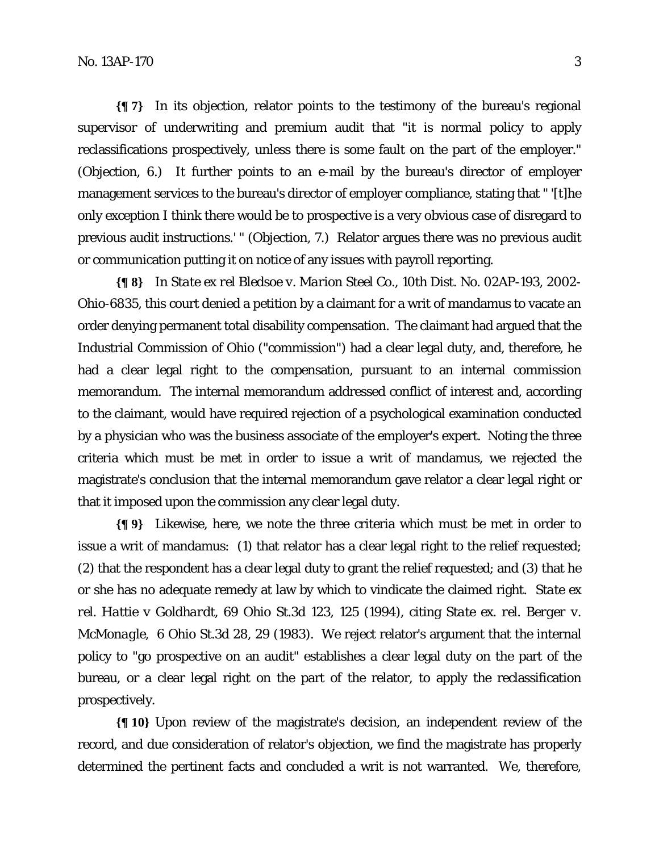**{¶ 7}** In its objection, relator points to the testimony of the bureau's regional supervisor of underwriting and premium audit that "it is normal policy to apply reclassifications prospectively, unless there is some fault on the part of the employer." (Objection, 6.) It further points to an e-mail by the bureau's director of employer management services to the bureau's director of employer compliance, stating that " '[t]he only exception I think there would be to prospective is a very obvious case of disregard to previous audit instructions.' " (Objection, 7.) Relator argues there was no previous audit or communication putting it on notice of any issues with payroll reporting.

**{¶ 8}** In *State ex rel Bledsoe v. Marion Steel Co*., 10th Dist. No. 02AP-193, 2002- Ohio-6835, this court denied a petition by a claimant for a writ of mandamus to vacate an order denying permanent total disability compensation. The claimant had argued that the Industrial Commission of Ohio ("commission") had a clear legal duty, and, therefore, he had a clear legal right to the compensation, pursuant to an internal commission memorandum. The internal memorandum addressed conflict of interest and, according to the claimant, would have required rejection of a psychological examination conducted by a physician who was the business associate of the employer's expert. Noting the three criteria which must be met in order to issue a writ of mandamus, we rejected the magistrate's conclusion that the internal memorandum gave relator a clear legal right or that it imposed upon the commission any clear legal duty.

**{¶ 9}** Likewise, here, we note the three criteria which must be met in order to issue a writ of mandamus: (1) that relator has a clear legal right to the relief requested; (2) that the respondent has a clear legal duty to grant the relief requested; and (3) that he or she has no adequate remedy at law by which to vindicate the claimed right. *State ex rel. Hattie v Goldhardt*, 69 Ohio St.3d 123, 125 (1994), citing *State ex. rel. Berger v. McMonagle*, 6 Ohio St.3d 28, 29 (1983). We reject relator's argument that the internal policy to "go prospective on an audit" establishes a clear legal duty on the part of the bureau, or a clear legal right on the part of the relator, to apply the reclassification prospectively.

**{¶ 10}** Upon review of the magistrate's decision, an independent review of the record, and due consideration of relator's objection, we find the magistrate has properly determined the pertinent facts and concluded a writ is not warranted. We, therefore,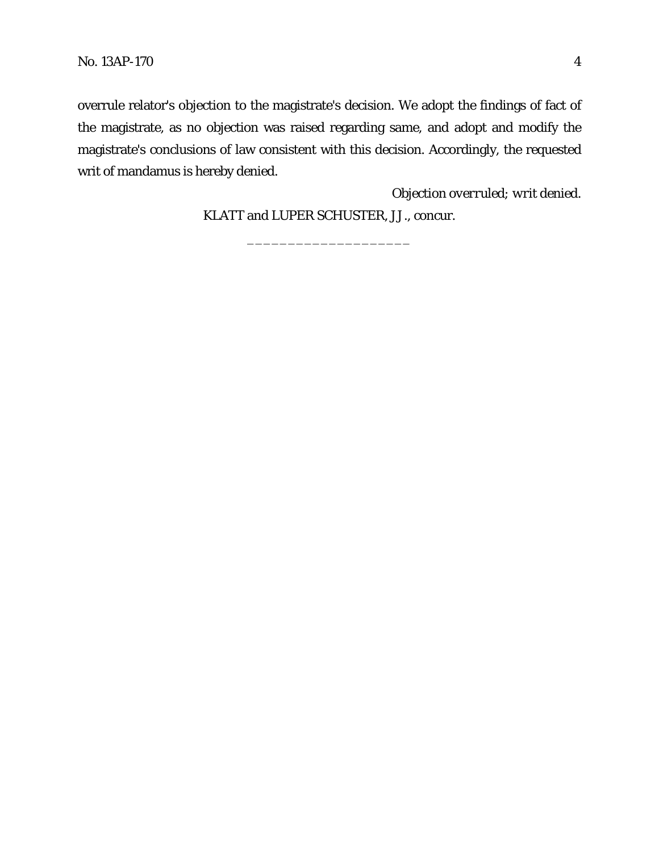overrule relator's objection to the magistrate's decision. We adopt the findings of fact of the magistrate, as no objection was raised regarding same, and adopt and modify the magistrate's conclusions of law consistent with this decision. Accordingly, the requested writ of mandamus is hereby denied.

*Objection overruled; writ denied.*

KLATT and LUPER SCHUSTER, JJ., concur.

\_\_\_\_\_\_\_\_\_\_\_\_\_\_\_\_\_\_\_\_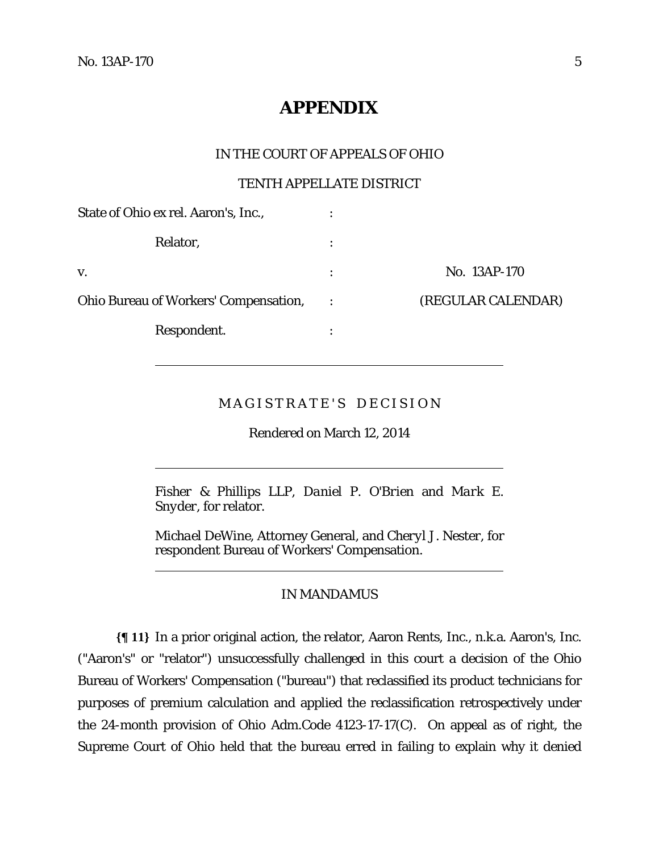$\overline{a}$ 

 $\overline{a}$ 

 $\overline{a}$ 

# **APPENDIX**

## IN THE COURT OF APPEALS OF OHIO

## TENTH APPELLATE DISTRICT

| State of Ohio ex rel. Aaron's, Inc.,         |                |                    |
|----------------------------------------------|----------------|--------------------|
| Relator,                                     |                |                    |
| V.                                           | $\ddot{\cdot}$ | No. 13AP-170       |
| <b>Ohio Bureau of Workers' Compensation,</b> |                | (REGULAR CALENDAR) |
| Respondent.                                  | ٠              |                    |

# MAGISTRATE'S DECISION

Rendered on March 12, 2014

*Fisher & Phillips LLP, Daniel P. O'Brien* and *Mark E. Snyder*, for relator.

*Michael DeWine*, Attorney General, and *Cheryl J. Nester*, for respondent Bureau of Workers' Compensation.

## IN MANDAMUS

**{¶ 11}** In a prior original action, the relator, Aaron Rents, Inc., n.k.a. Aaron's, Inc. ("Aaron's" or "relator") unsuccessfully challenged in this court a decision of the Ohio Bureau of Workers' Compensation ("bureau") that reclassified its product technicians for purposes of premium calculation and applied the reclassification retrospectively under the 24-month provision of Ohio Adm.Code 4123-17-17(C). On appeal as of right, the Supreme Court of Ohio held that the bureau erred in failing to explain why it denied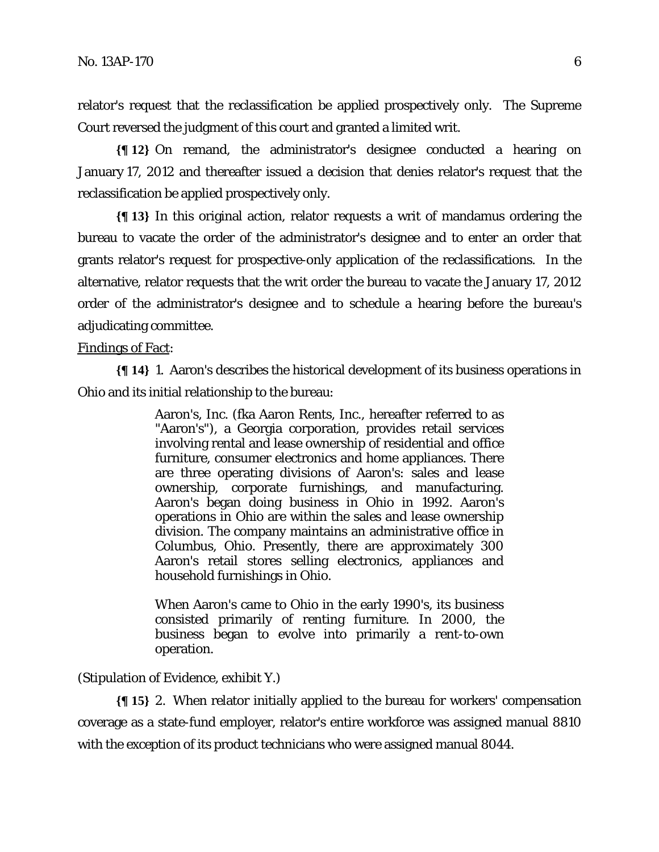relator's request that the reclassification be applied prospectively only. The Supreme Court reversed the judgment of this court and granted a limited writ.

**{¶ 12}** On remand, the administrator's designee conducted a hearing on January 17, 2012 and thereafter issued a decision that denies relator's request that the reclassification be applied prospectively only.

**{¶ 13}** In this original action, relator requests a writ of mandamus ordering the bureau to vacate the order of the administrator's designee and to enter an order that grants relator's request for prospective-only application of the reclassifications. In the alternative, relator requests that the writ order the bureau to vacate the January 17, 2012 order of the administrator's designee and to schedule a hearing before the bureau's adjudicating committee.

#### Findings of Fact:

**{¶ 14}** 1. Aaron's describes the historical development of its business operations in Ohio and its initial relationship to the bureau:

> Aaron's, Inc. (fka Aaron Rents, Inc., hereafter referred to as "Aaron's"), a Georgia corporation, provides retail services involving rental and lease ownership of residential and office furniture, consumer electronics and home appliances. There are three operating divisions of Aaron's: sales and lease ownership, corporate furnishings, and manufacturing. Aaron's began doing business in Ohio in 1992. Aaron's operations in Ohio are within the sales and lease ownership division. The company maintains an administrative office in Columbus, Ohio. Presently, there are approximately 300 Aaron's retail stores selling electronics, appliances and household furnishings in Ohio.

> When Aaron's came to Ohio in the early 1990's, its business consisted primarily of renting furniture. In 2000, the business began to evolve into primarily a rent-to-own operation.

(Stipulation of Evidence, exhibit Y.)

**{¶ 15}** 2. When relator initially applied to the bureau for workers' compensation coverage as a state-fund employer, relator's entire workforce was assigned manual 8810 with the exception of its product technicians who were assigned manual 8044.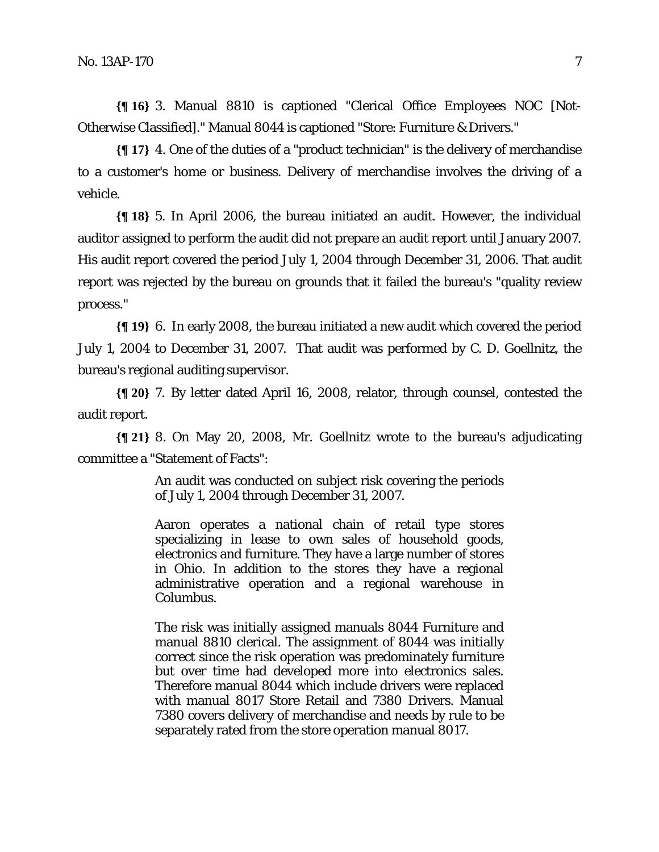**{¶ 16}** 3. Manual 8810 is captioned "Clerical Office Employees NOC [Not-Otherwise Classified]." Manual 8044 is captioned "Store: Furniture & Drivers."

**{¶ 17}** 4. One of the duties of a "product technician" is the delivery of merchandise to a customer's home or business. Delivery of merchandise involves the driving of a vehicle.

**{¶ 18}** 5. In April 2006, the bureau initiated an audit. However, the individual auditor assigned to perform the audit did not prepare an audit report until January 2007. His audit report covered the period July 1, 2004 through December 31, 2006. That audit report was rejected by the bureau on grounds that it failed the bureau's "quality review process."

**{¶ 19}** 6. In early 2008, the bureau initiated a new audit which covered the period July 1, 2004 to December 31, 2007. That audit was performed by C. D. Goellnitz, the bureau's regional auditing supervisor.

**{¶ 20}** 7. By letter dated April 16, 2008, relator, through counsel, contested the audit report.

**{¶ 21}** 8. On May 20, 2008, Mr. Goellnitz wrote to the bureau's adjudicating committee a "Statement of Facts":

> An audit was conducted on subject risk covering the periods of July 1, 2004 through December 31, 2007.

> Aaron operates a national chain of retail type stores specializing in lease to own sales of household goods, electronics and furniture. They have a large number of stores in Ohio. In addition to the stores they have a regional administrative operation and a regional warehouse in Columbus.

> The risk was initially assigned manuals 8044 Furniture and manual 8810 clerical. The assignment of 8044 was initially correct since the risk operation was predominately furniture but over time had developed more into electronics sales. Therefore manual 8044 which include drivers were replaced with manual 8017 Store Retail and 7380 Drivers. Manual 7380 covers delivery of merchandise and needs by rule to be separately rated from the store operation manual 8017.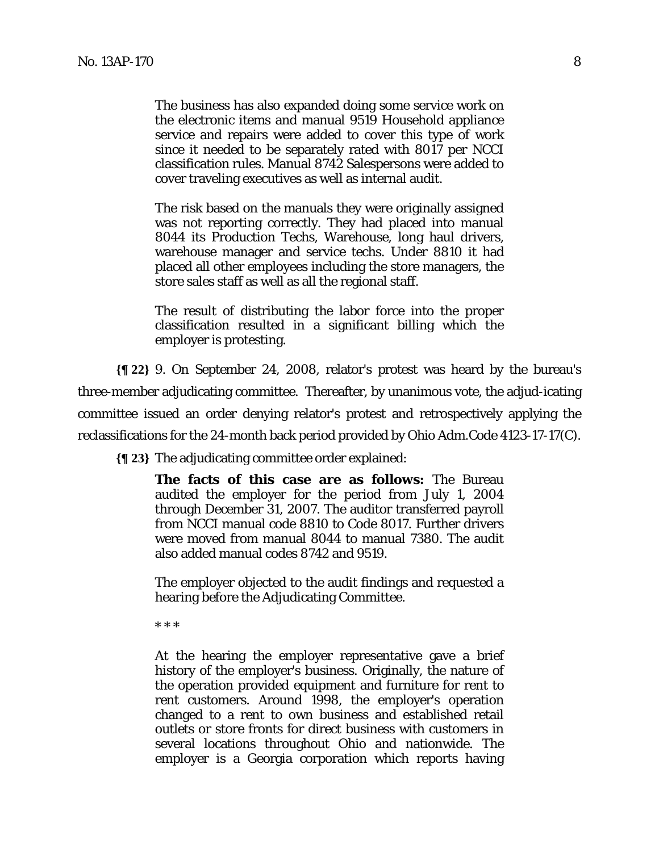The business has also expanded doing some service work on the electronic items and manual 9519 Household appliance service and repairs were added to cover this type of work since it needed to be separately rated with 8017 per NCCI classification rules. Manual 8742 Salespersons were added to cover traveling executives as well as internal audit.

The risk based on the manuals they were originally assigned was not reporting correctly. They had placed into manual 8044 its Production Techs, Warehouse, long haul drivers, warehouse manager and service techs. Under 8810 it had placed all other employees including the store managers, the store sales staff as well as all the regional staff.

The result of distributing the labor force into the proper classification resulted in a significant billing which the employer is protesting.

**{¶ 22}** 9. On September 24, 2008, relator's protest was heard by the bureau's three-member adjudicating committee. Thereafter, by unanimous vote, the adjud-icating committee issued an order denying relator's protest and retrospectively applying the reclassifications for the 24-month back period provided by Ohio Adm.Code 4123-17-17(C).

**{¶ 23}** The adjudicating committee order explained:

**The facts of this case are as follows:** The Bureau audited the employer for the period from July 1, 2004 through December 31, 2007. The auditor transferred payroll from NCCI manual code 8810 to Code 8017. Further drivers were moved from manual 8044 to manual 7380. The audit also added manual codes 8742 and 9519.

The employer objected to the audit findings and requested a hearing before the Adjudicating Committee.

\* \* \*

At the hearing the employer representative gave a brief history of the employer's business. Originally, the nature of the operation provided equipment and furniture for rent to rent customers. Around 1998, the employer's operation changed to a rent to own business and established retail outlets or store fronts for direct business with customers in several locations throughout Ohio and nationwide. The employer is a Georgia corporation which reports having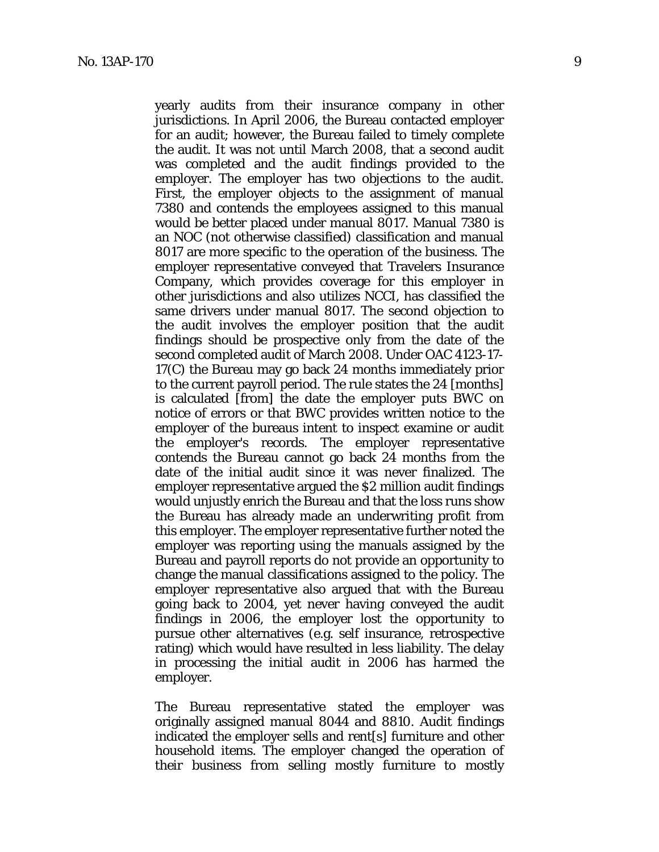yearly audits from their insurance company in other jurisdictions. In April 2006, the Bureau contacted employer for an audit; however, the Bureau failed to timely complete the audit. It was not until March 2008, that a second audit was completed and the audit findings provided to the employer. The employer has two objections to the audit. First, the employer objects to the assignment of manual 7380 and contends the employees assigned to this manual would be better placed under manual 8017. Manual 7380 is an NOC (not otherwise classified) classification and manual 8017 are more specific to the operation of the business. The employer representative conveyed that Travelers Insurance Company, which provides coverage for this employer in other jurisdictions and also utilizes NCCI, has classified the same drivers under manual 8017. The second objection to the audit involves the employer position that the audit findings should be prospective only from the date of the second completed audit of March 2008. Under OAC 4123-17- 17(C) the Bureau may go back 24 months immediately prior to the current payroll period. The rule states the 24 [months] is calculated [from] the date the employer puts BWC on notice of errors or that BWC provides written notice to the employer of the bureaus intent to inspect examine or audit the employer's records. The employer representative contends the Bureau cannot go back 24 months from the date of the initial audit since it was never finalized. The employer representative argued the \$2 million audit findings would unjustly enrich the Bureau and that the loss runs show the Bureau has already made an underwriting profit from this employer. The employer representative further noted the employer was reporting using the manuals assigned by the Bureau and payroll reports do not provide an opportunity to change the manual classifications assigned to the policy. The employer representative also argued that with the Bureau going back to 2004, yet never having conveyed the audit findings in 2006, the employer lost the opportunity to pursue other alternatives (e.g. self insurance, retrospective rating) which would have resulted in less liability. The delay in processing the initial audit in 2006 has harmed the employer.

The Bureau representative stated the employer was originally assigned manual 8044 and 8810. Audit findings indicated the employer sells and rent[s] furniture and other household items. The employer changed the operation of their business from selling mostly furniture to mostly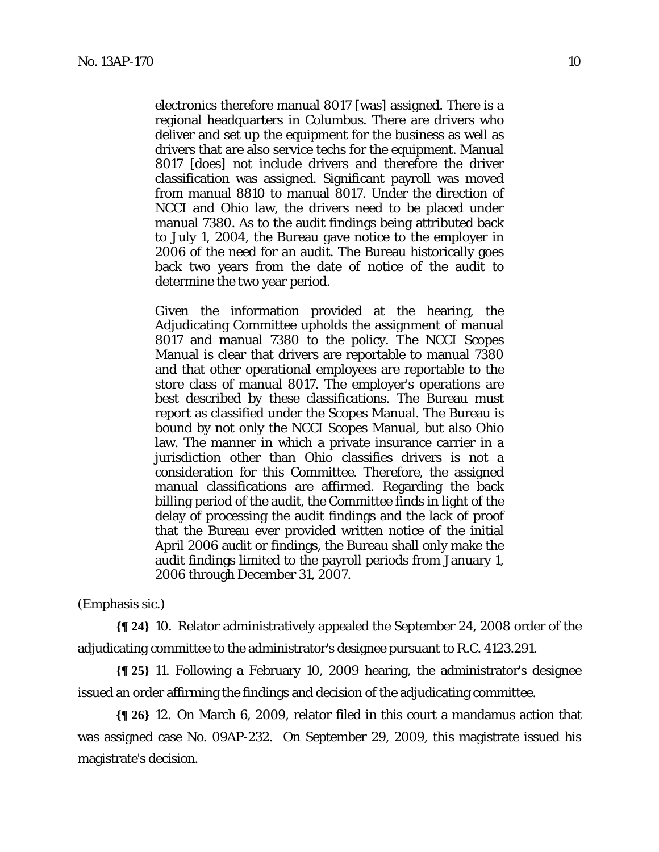electronics therefore manual 8017 [was] assigned. There is a regional headquarters in Columbus. There are drivers who deliver and set up the equipment for the business as well as drivers that are also service techs for the equipment. Manual 8017 [does] not include drivers and therefore the driver classification was assigned. Significant payroll was moved from manual 8810 to manual 8017. Under the direction of NCCI and Ohio law, the drivers need to be placed under manual 7380. As to the audit findings being attributed back to July 1, 2004, the Bureau gave notice to the employer in 2006 of the need for an audit. The Bureau historically goes back two years from the date of notice of the audit to determine the two year period.

Given the information provided at the hearing, the Adjudicating Committee upholds the assignment of manual 8017 and manual 7380 to the policy. The NCCI Scopes Manual is clear that drivers are reportable to manual 7380 and that other operational employees are reportable to the store class of manual 8017. The employer's operations are best described by these classifications. The Bureau must report as classified under the Scopes Manual. The Bureau is bound by not only the NCCI Scopes Manual, but also Ohio law. The manner in which a private insurance carrier in a jurisdiction other than Ohio classifies drivers is not a consideration for this Committee. Therefore, the assigned manual classifications are affirmed. Regarding the back billing period of the audit, the Committee finds in light of the delay of processing the audit findings and the lack of proof that the Bureau ever provided written notice of the initial April 2006 audit or findings, the Bureau shall only make the audit findings limited to the payroll periods from January 1, 2006 through December 31, 2007.

## (Emphasis sic.)

**{¶ 24}** 10. Relator administratively appealed the September 24, 2008 order of the adjudicating committee to the administrator's designee pursuant to R.C. 4123.291.

**{¶ 25}** 11. Following a February 10, 2009 hearing, the administrator's designee issued an order affirming the findings and decision of the adjudicating committee.

**{¶ 26}** 12. On March 6, 2009, relator filed in this court a mandamus action that was assigned case No. 09AP-232. On September 29, 2009, this magistrate issued his magistrate's decision.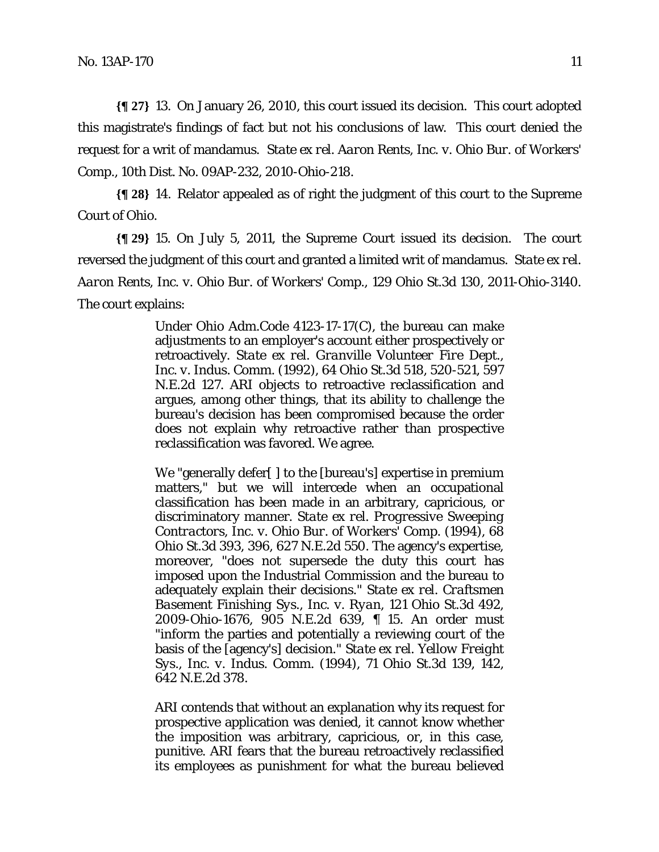**{¶ 27}** 13. On January 26, 2010, this court issued its decision. This court adopted this magistrate's findings of fact but not his conclusions of law. This court denied the request for a writ of mandamus. *State ex rel. Aaron Rents, Inc. v. Ohio Bur. of Workers' Comp.,* 10th Dist. No. 09AP-232, 2010-Ohio-218.

**{¶ 28}** 14. Relator appealed as of right the judgment of this court to the Supreme Court of Ohio.

**{¶ 29}** 15. On July 5, 2011, the Supreme Court issued its decision. The court reversed the judgment of this court and granted a limited writ of mandamus. *State ex rel. Aaron Rents, Inc. v. Ohio Bur. of Workers' Comp.,* 129 Ohio St.3d 130, 2011-Ohio-3140. The court explains:

> Under Ohio Adm.Code 4123-17-17(C), the bureau can make adjustments to an employer's account either prospectively or retroactively. *State ex rel. Granville Volunteer Fire Dept., Inc. v. Indus. Comm.* (1992), 64 Ohio St.3d 518, 520-521, 597 N.E.2d 127. ARI objects to retroactive reclassification and argues, among other things, that its ability to challenge the bureau's decision has been compromised because the order does not explain why retroactive rather than prospective reclassification was favored. We agree.

> We "generally defer[ ] to the [bureau's] expertise in premium matters," but we will intercede when an occupational classification has been made in an arbitrary, capricious, or discriminatory manner. *State ex rel. Progressive Sweeping Contractors, Inc. v. Ohio Bur. of Workers' Comp.* (1994), 68 Ohio St.3d 393, 396, 627 N.E.2d 550. The agency's expertise, moreover, "does not supersede the duty this court has imposed upon the Industrial Commission and the bureau to adequately explain their decisions." *State ex rel. Craftsmen Basement Finishing Sys., Inc. v. Ryan,* 121 Ohio St.3d 492, 2009-Ohio-1676, 905 N.E.2d 639, ¶ 15. An order must "inform the parties and potentially a reviewing court of the basis of the [agency's] decision." *State ex rel. Yellow Freight Sys., Inc. v. Indus. Comm.* (1994), 71 Ohio St.3d 139, 142, 642 N.E.2d 378.

> ARI contends that without an explanation why its request for prospective application was denied, it cannot know whether the imposition was arbitrary, capricious, or, in this case, punitive. ARI fears that the bureau retroactively reclassified its employees as punishment for what the bureau believed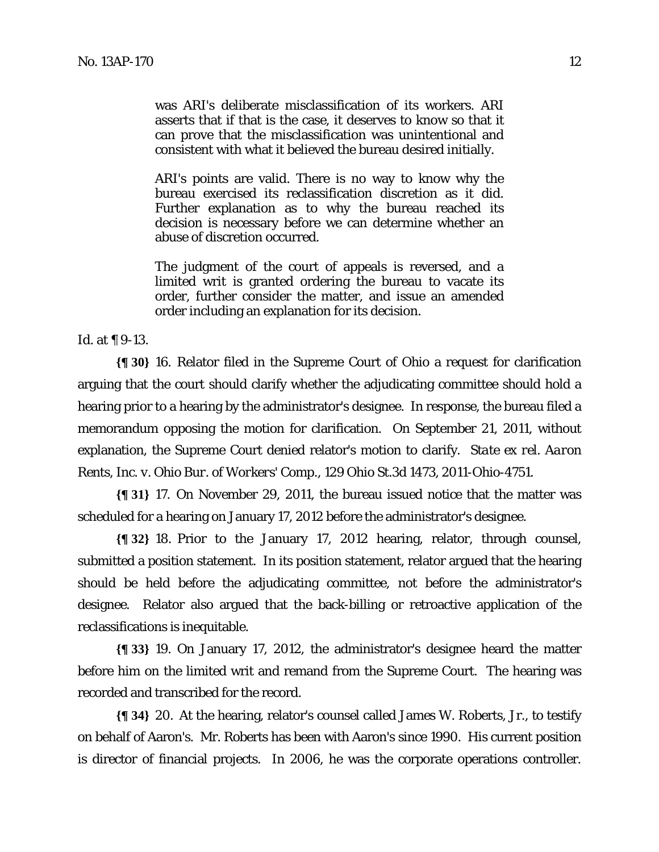was ARI's deliberate misclassification of its workers. ARI asserts that if that is the case, it deserves to know so that it can prove that the misclassification was unintentional and consistent with what it believed the bureau desired initially.

ARI's points are valid. There is no way to know why the bureau exercised its reclassification discretion as it did. Further explanation as to why the bureau reached its decision is necessary before we can determine whether an abuse of discretion occurred.

The judgment of the court of appeals is reversed, and a limited writ is granted ordering the bureau to vacate its order, further consider the matter, and issue an amended order including an explanation for its decision.

*Id.* at ¶ 9-13*.* 

**{¶ 30}** 16. Relator filed in the Supreme Court of Ohio a request for clarification arguing that the court should clarify whether the adjudicating committee should hold a hearing prior to a hearing by the administrator's designee. In response, the bureau filed a memorandum opposing the motion for clarification. On September 21, 2011, without explanation, the Supreme Court denied relator's motion to clarify. *State ex rel. Aaron Rents, Inc. v. Ohio Bur. of Workers' Comp.,* 129 Ohio St.3d 1473, 2011-Ohio-4751.

**{¶ 31}** 17. On November 29, 2011, the bureau issued notice that the matter was scheduled for a hearing on January 17, 2012 before the administrator's designee.

**{¶ 32}** 18. Prior to the January 17, 2012 hearing, relator, through counsel, submitted a position statement. In its position statement, relator argued that the hearing should be held before the adjudicating committee, not before the administrator's designee. Relator also argued that the back-billing or retroactive application of the reclassifications is inequitable.

**{¶ 33}** 19. On January 17, 2012, the administrator's designee heard the matter before him on the limited writ and remand from the Supreme Court. The hearing was recorded and transcribed for the record.

**{¶ 34}** 20. At the hearing, relator's counsel called James W. Roberts, Jr., to testify on behalf of Aaron's. Mr. Roberts has been with Aaron's since 1990. His current position is director of financial projects. In 2006, he was the corporate operations controller.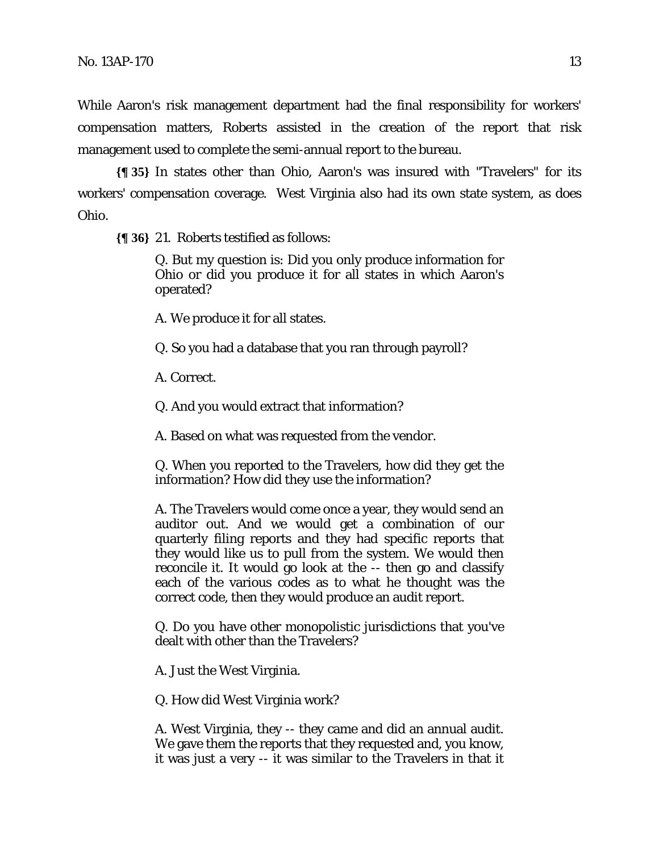While Aaron's risk management department had the final responsibility for workers' compensation matters, Roberts assisted in the creation of the report that risk management used to complete the semi-annual report to the bureau.

**{¶ 35}** In states other than Ohio, Aaron's was insured with "Travelers" for its workers' compensation coverage. West Virginia also had its own state system, as does Ohio.

**{¶ 36}** 21. Roberts testified as follows:

Q. But my question is: Did you only produce information for Ohio or did you produce it for all states in which Aaron's operated?

A. We produce it for all states.

Q. So you had a database that you ran through payroll?

A. Correct.

Q. And you would extract that information?

A. Based on what was requested from the vendor.

Q. When you reported to the Travelers, how did they get the information? How did they use the information?

A. The Travelers would come once a year, they would send an auditor out. And we would get a combination of our quarterly filing reports and they had specific reports that they would like us to pull from the system. We would then reconcile it. It would go look at the -- then go and classify each of the various codes as to what he thought was the correct code, then they would produce an audit report.

Q. Do you have other monopolistic jurisdictions that you've dealt with other than the Travelers?

A. Just the West Virginia.

Q. How did West Virginia work?

A. West Virginia, they -- they came and did an annual audit. We gave them the reports that they requested and, you know, it was just a very -- it was similar to the Travelers in that it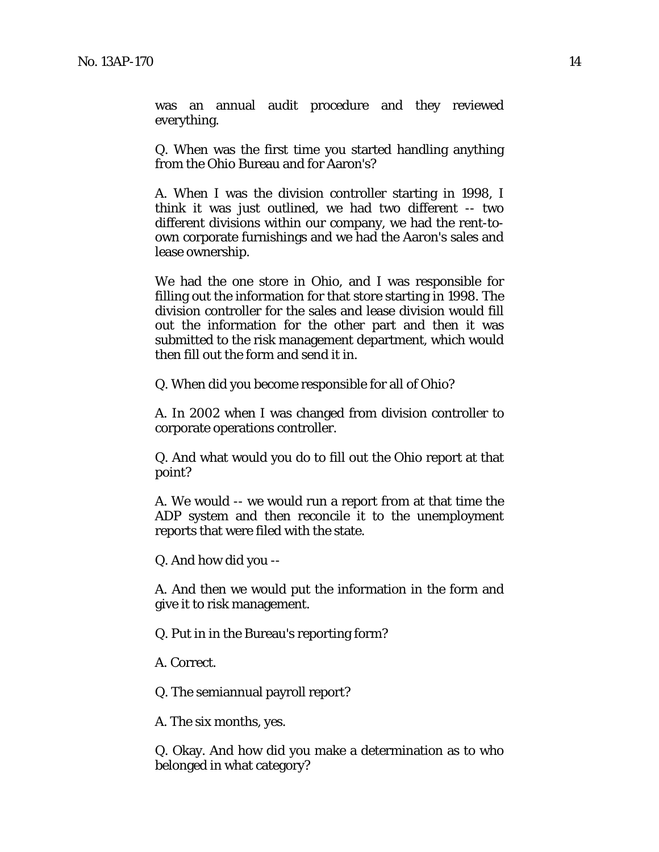was an annual audit procedure and they reviewed everything.

Q. When was the first time you started handling anything from the Ohio Bureau and for Aaron's?

A. When I was the division controller starting in 1998, I think it was just outlined, we had two different -- two different divisions within our company, we had the rent-toown corporate furnishings and we had the Aaron's sales and lease ownership.

We had the one store in Ohio, and I was responsible for filling out the information for that store starting in 1998. The division controller for the sales and lease division would fill out the information for the other part and then it was submitted to the risk management department, which would then fill out the form and send it in.

Q. When did you become responsible for all of Ohio?

A. In 2002 when I was changed from division controller to corporate operations controller.

Q. And what would you do to fill out the Ohio report at that point?

A. We would -- we would run a report from at that time the ADP system and then reconcile it to the unemployment reports that were filed with the state.

Q. And how did you --

A. And then we would put the information in the form and give it to risk management.

Q. Put in in the Bureau's reporting form?

A. Correct.

Q. The semiannual payroll report?

A. The six months, yes.

Q. Okay. And how did you make a determination as to who belonged in what category?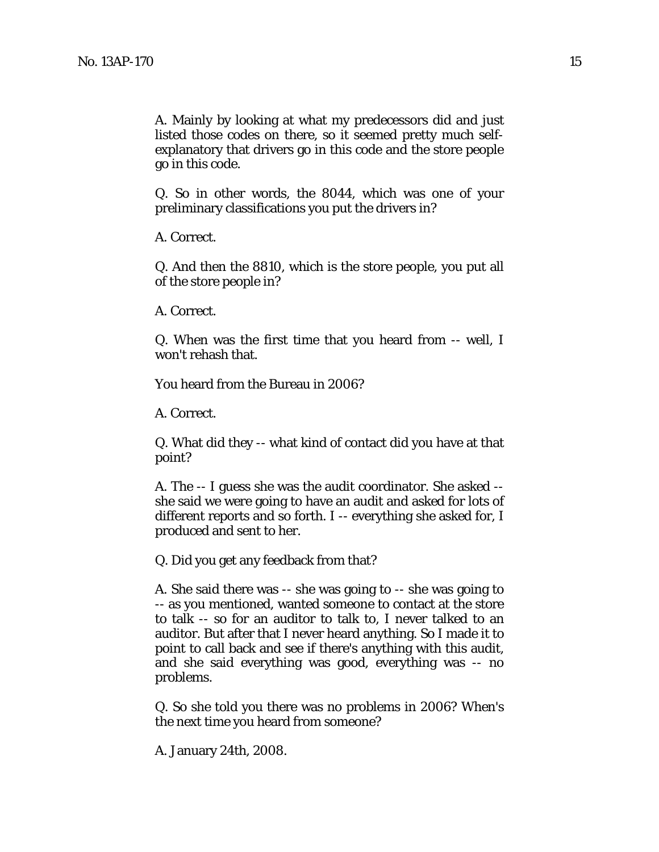A. Mainly by looking at what my predecessors did and just listed those codes on there, so it seemed pretty much selfexplanatory that drivers go in this code and the store people go in this code.

Q. So in other words, the 8044, which was one of your preliminary classifications you put the drivers in?

A. Correct.

Q. And then the 8810, which is the store people, you put all of the store people in?

A. Correct.

Q. When was the first time that you heard from -- well, I won't rehash that.

You heard from the Bureau in 2006?

A. Correct.

Q. What did they -- what kind of contact did you have at that point?

A. The -- I guess she was the audit coordinator. She asked - she said we were going to have an audit and asked for lots of different reports and so forth. I -- everything she asked for, I produced and sent to her.

Q. Did you get any feedback from that?

A. She said there was -- she was going to -- she was going to -- as you mentioned, wanted someone to contact at the store to talk -- so for an auditor to talk to, I never talked to an auditor. But after that I never heard anything. So I made it to point to call back and see if there's anything with this audit, and she said everything was good, everything was -- no problems.

Q. So she told you there was no problems in 2006? When's the next time you heard from someone?

A. January 24th, 2008.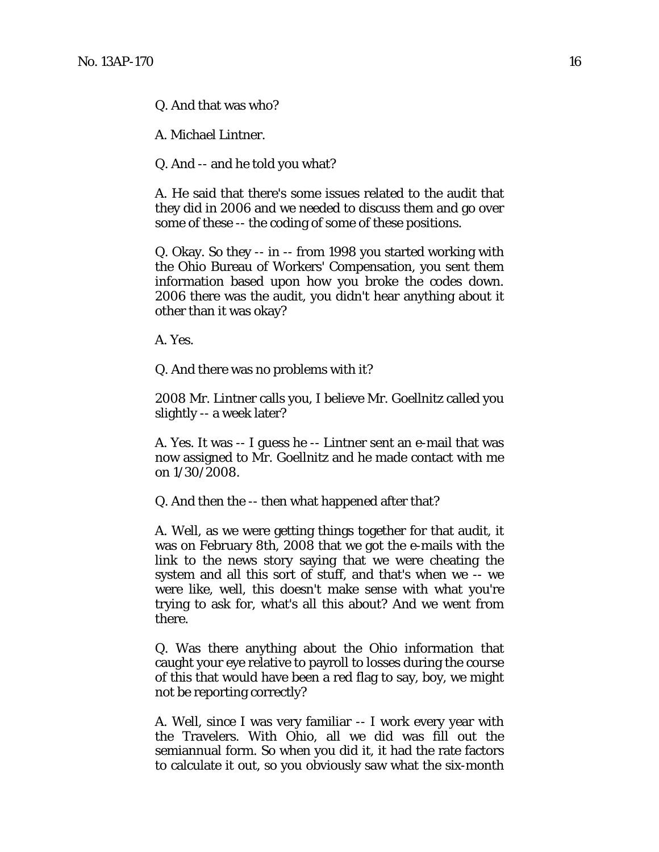Q. And that was who?

A. Michael Lintner.

Q. And -- and he told you what?

A. He said that there's some issues related to the audit that they did in 2006 and we needed to discuss them and go over some of these -- the coding of some of these positions.

Q. Okay. So they -- in -- from 1998 you started working with the Ohio Bureau of Workers' Compensation, you sent them information based upon how you broke the codes down. 2006 there was the audit, you didn't hear anything about it other than it was okay?

A. Yes.

Q. And there was no problems with it?

2008 Mr. Lintner calls you, I believe Mr. Goellnitz called you slightly -- a week later?

A. Yes. It was -- I guess he -- Lintner sent an e-mail that was now assigned to Mr. Goellnitz and he made contact with me on 1/30/2008.

Q. And then the -- then what happened after that?

A. Well, as we were getting things together for that audit, it was on February 8th, 2008 that we got the e-mails with the link to the news story saying that we were cheating the system and all this sort of stuff, and that's when we -- we were like, well, this doesn't make sense with what you're trying to ask for, what's all this about? And we went from there.

Q. Was there anything about the Ohio information that caught your eye relative to payroll to losses during the course of this that would have been a red flag to say, boy, we might not be reporting correctly?

A. Well, since I was very familiar -- I work every year with the Travelers. With Ohio, all we did was fill out the semiannual form. So when you did it, it had the rate factors to calculate it out, so you obviously saw what the six-month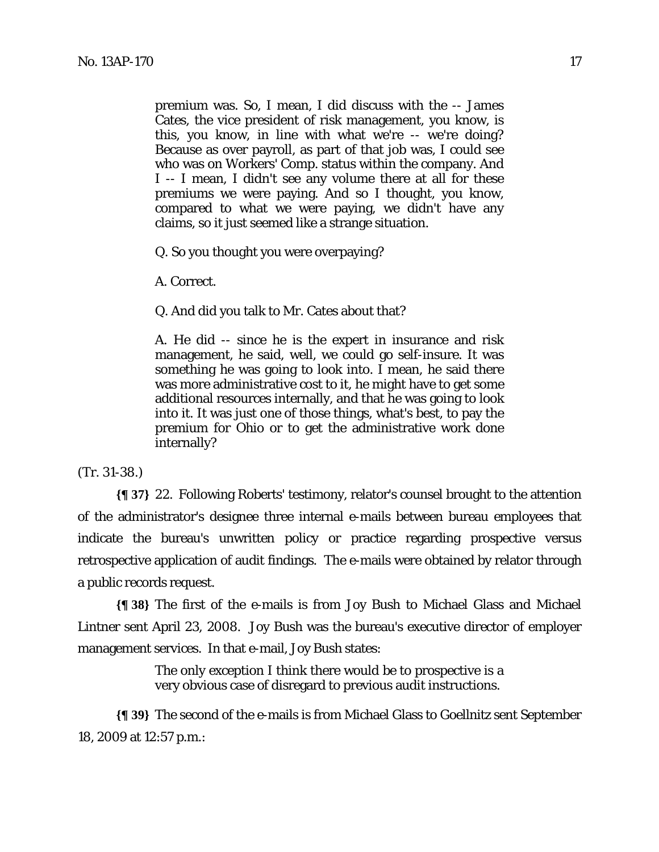premium was. So, I mean, I did discuss with the -- James Cates, the vice president of risk management, you know, is this, you know, in line with what we're -- we're doing? Because as over payroll, as part of that job was, I could see who was on Workers' Comp. status within the company. And I -- I mean, I didn't see any volume there at all for these premiums we were paying. And so I thought, you know, compared to what we were paying, we didn't have any claims, so it just seemed like a strange situation.

Q. So you thought you were overpaying?

A. Correct.

Q. And did you talk to Mr. Cates about that?

A. He did -- since he is the expert in insurance and risk management, he said, well, we could go self-insure. It was something he was going to look into. I mean, he said there was more administrative cost to it, he might have to get some additional resources internally, and that he was going to look into it. It was just one of those things, what's best, to pay the premium for Ohio or to get the administrative work done internally?

#### (Tr. 31-38.)

**{¶ 37}** 22. Following Roberts' testimony, relator's counsel brought to the attention of the administrator's designee three internal e-mails between bureau employees that indicate the bureau's unwritten policy or practice regarding prospective versus retrospective application of audit findings. The e-mails were obtained by relator through a public records request.

**{¶ 38}** The first of the e-mails is from Joy Bush to Michael Glass and Michael Lintner sent April 23, 2008. Joy Bush was the bureau's executive director of employer management services. In that e-mail, Joy Bush states:

> The only exception I think there would be to prospective is a very obvious case of disregard to previous audit instructions.

**{¶ 39}** The second of the e-mails is from Michael Glass to Goellnitz sent September 18, 2009 at 12:57 p.m.: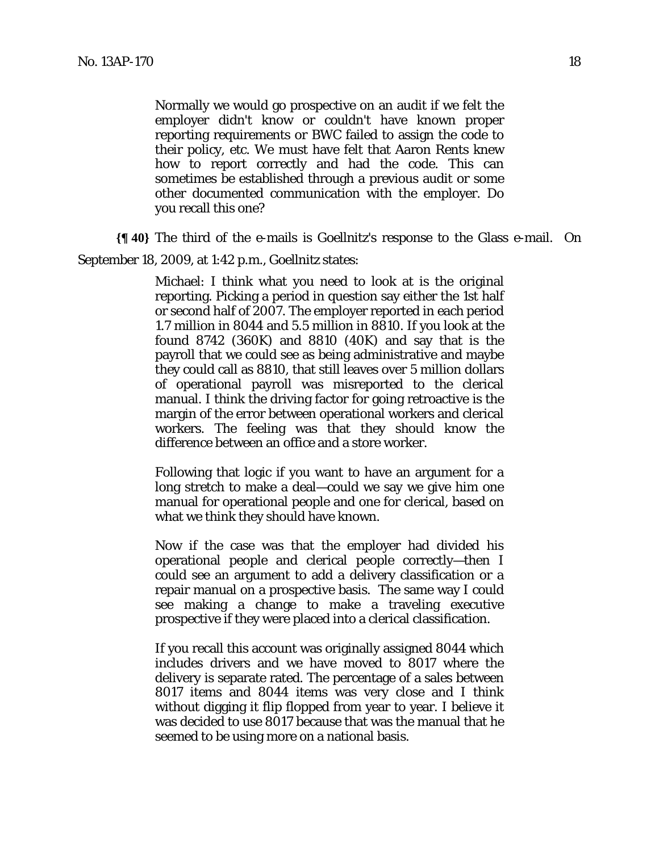Normally we would go prospective on an audit if we felt the employer didn't know or couldn't have known proper reporting requirements or BWC failed to assign the code to their policy, etc. We must have felt that Aaron Rents knew how to report correctly and had the code. This can sometimes be established through a previous audit or some other documented communication with the employer. Do you recall this one?

**{¶ 40}** The third of the e-mails is Goellnitz's response to the Glass e-mail. On

September 18, 2009, at 1:42 p.m., Goellnitz states:

Michael: I think what you need to look at is the original reporting. Picking a period in question say either the 1st half or second half of 2007. The employer reported in each period 1.7 million in 8044 and 5.5 million in 8810. If you look at the found 8742 (360K) and 8810 (40K) and say that is the payroll that we could see as being administrative and maybe they could call as 8810, that still leaves over 5 million dollars of operational payroll was misreported to the clerical manual. I think the driving factor for going retroactive is the margin of the error between operational workers and clerical workers. The feeling was that they should know the difference between an office and a store worker.

Following that logic if you want to have an argument for a long stretch to make a deal—could we say we give him one manual for operational people and one for clerical, based on what we think they should have known.

Now if the case was that the employer had divided his operational people and clerical people correctly—then I could see an argument to add a delivery classification or a repair manual on a prospective basis. The same way I could see making a change to make a traveling executive prospective if they were placed into a clerical classification.

If you recall this account was originally assigned 8044 which includes drivers and we have moved to 8017 where the delivery is separate rated. The percentage of a sales between 8017 items and 8044 items was very close and I think without digging it flip flopped from year to year. I believe it was decided to use 8017 because that was the manual that he seemed to be using more on a national basis.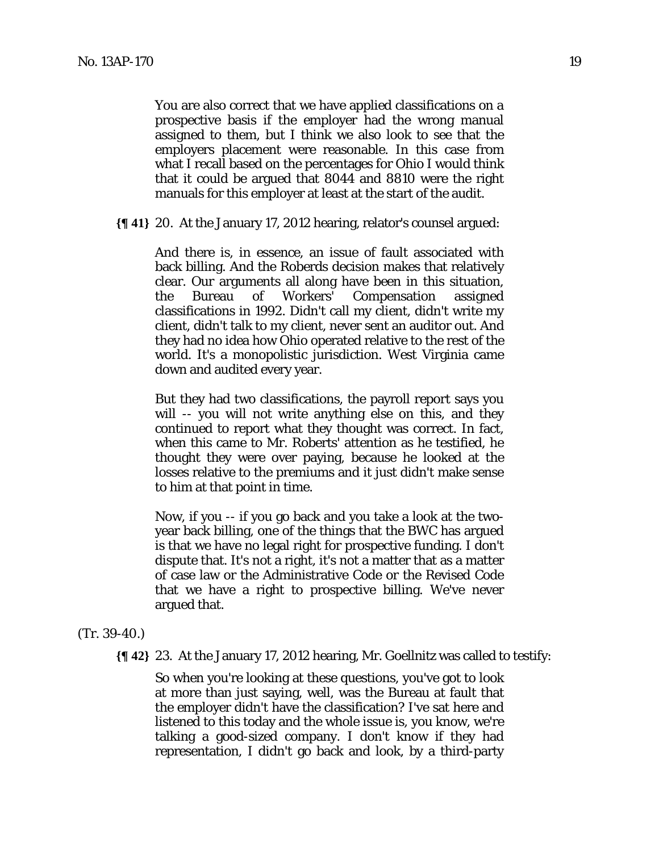You are also correct that we have applied classifications on a prospective basis if the employer had the wrong manual assigned to them, but I think we also look to see that the employers placement were reasonable. In this case from what I recall based on the percentages for Ohio I would think that it could be argued that 8044 and 8810 were the right manuals for this employer at least at the start of the audit.

**{¶ 41}** 20. At the January 17, 2012 hearing, relator's counsel argued:

And there is, in essence, an issue of fault associated with back billing. And the Roberds decision makes that relatively clear. Our arguments all along have been in this situation, the Bureau of Workers' Compensation assigned classifications in 1992. Didn't call my client, didn't write my client, didn't talk to my client, never sent an auditor out. And they had no idea how Ohio operated relative to the rest of the world. It's a monopolistic jurisdiction. West Virginia came down and audited every year.

But they had two classifications, the payroll report says you will -- you will not write anything else on this, and they continued to report what they thought was correct. In fact, when this came to Mr. Roberts' attention as he testified, he thought they were over paying, because he looked at the losses relative to the premiums and it just didn't make sense to him at that point in time.

Now, if you -- if you go back and you take a look at the twoyear back billing, one of the things that the BWC has argued is that we have no legal right for prospective funding. I don't dispute that. It's not a right, it's not a matter that as a matter of case law or the Administrative Code or the Revised Code that we have a right to prospective billing. We've never argued that.

#### (Tr. 39-40.)

**{¶ 42}** 23. At the January 17, 2012 hearing, Mr. Goellnitz was called to testify:

So when you're looking at these questions, you've got to look at more than just saying, well, was the Bureau at fault that the employer didn't have the classification? I've sat here and listened to this today and the whole issue is, you know, we're talking a good-sized company. I don't know if they had representation, I didn't go back and look, by a third-party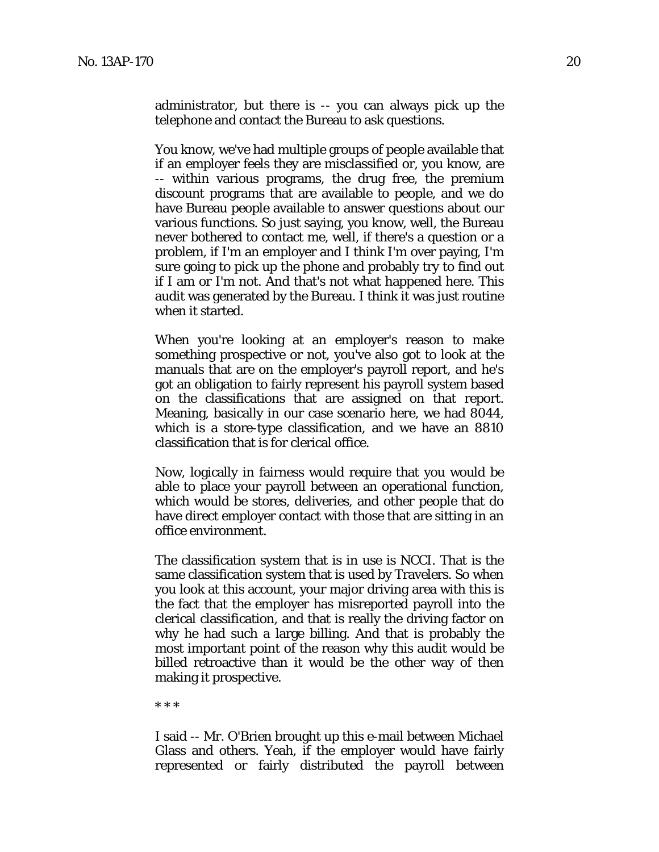administrator, but there is -- you can always pick up the telephone and contact the Bureau to ask questions.

You know, we've had multiple groups of people available that if an employer feels they are misclassified or, you know, are -- within various programs, the drug free, the premium discount programs that are available to people, and we do have Bureau people available to answer questions about our various functions. So just saying, you know, well, the Bureau never bothered to contact me, well, if there's a question or a problem, if I'm an employer and I think I'm over paying, I'm sure going to pick up the phone and probably try to find out if I am or I'm not. And that's not what happened here. This audit was generated by the Bureau. I think it was just routine when it started.

When you're looking at an employer's reason to make something prospective or not, you've also got to look at the manuals that are on the employer's payroll report, and he's got an obligation to fairly represent his payroll system based on the classifications that are assigned on that report. Meaning, basically in our case scenario here, we had 8044, which is a store-type classification, and we have an 8810 classification that is for clerical office.

Now, logically in fairness would require that you would be able to place your payroll between an operational function, which would be stores, deliveries, and other people that do have direct employer contact with those that are sitting in an office environment.

The classification system that is in use is NCCI. That is the same classification system that is used by Travelers. So when you look at this account, your major driving area with this is the fact that the employer has misreported payroll into the clerical classification, and that is really the driving factor on why he had such a large billing. And that is probably the most important point of the reason why this audit would be billed retroactive than it would be the other way of then making it prospective.

\* \* \*

I said -- Mr. O'Brien brought up this e-mail between Michael Glass and others. Yeah, if the employer would have fairly represented or fairly distributed the payroll between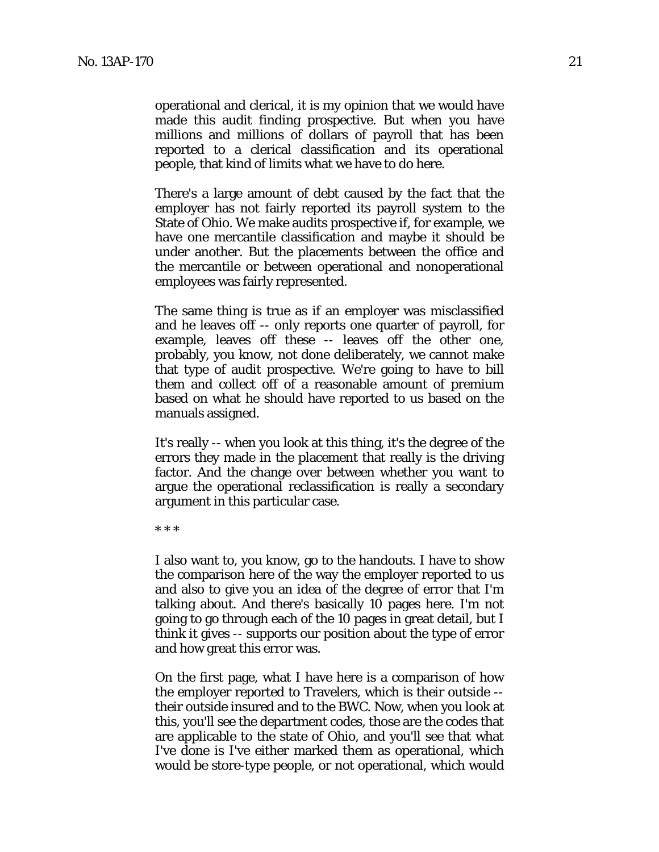operational and clerical, it is my opinion that we would have made this audit finding prospective. But when you have millions and millions of dollars of payroll that has been reported to a clerical classification and its operational people, that kind of limits what we have to do here.

There's a large amount of debt caused by the fact that the employer has not fairly reported its payroll system to the State of Ohio. We make audits prospective if, for example, we have one mercantile classification and maybe it should be under another. But the placements between the office and the mercantile or between operational and nonoperational employees was fairly represented.

The same thing is true as if an employer was misclassified and he leaves off -- only reports one quarter of payroll, for example, leaves off these -- leaves off the other one, probably, you know, not done deliberately, we cannot make that type of audit prospective. We're going to have to bill them and collect off of a reasonable amount of premium based on what he should have reported to us based on the manuals assigned.

It's really -- when you look at this thing, it's the degree of the errors they made in the placement that really is the driving factor. And the change over between whether you want to argue the operational reclassification is really a secondary argument in this particular case.

\* \* \*

I also want to, you know, go to the handouts. I have to show the comparison here of the way the employer reported to us and also to give you an idea of the degree of error that I'm talking about. And there's basically 10 pages here. I'm not going to go through each of the 10 pages in great detail, but I think it gives -- supports our position about the type of error and how great this error was.

On the first page, what I have here is a comparison of how the employer reported to Travelers, which is their outside - their outside insured and to the BWC. Now, when you look at this, you'll see the department codes, those are the codes that are applicable to the state of Ohio, and you'll see that what I've done is I've either marked them as operational, which would be store-type people, or not operational, which would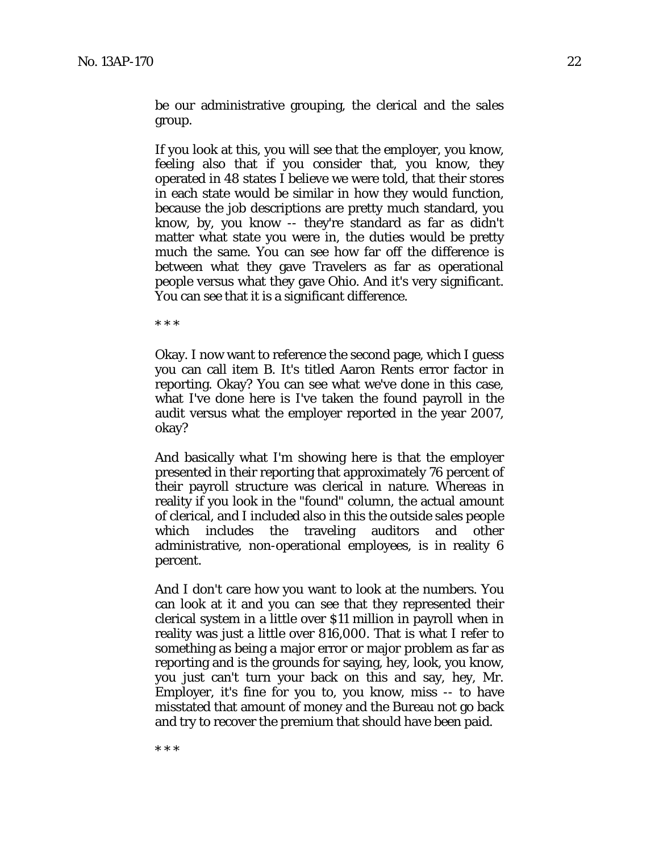be our administrative grouping, the clerical and the sales group.

If you look at this, you will see that the employer, you know, feeling also that if you consider that, you know, they operated in 48 states I believe we were told, that their stores in each state would be similar in how they would function, because the job descriptions are pretty much standard, you know, by, you know -- they're standard as far as didn't matter what state you were in, the duties would be pretty much the same. You can see how far off the difference is between what they gave Travelers as far as operational people versus what they gave Ohio. And it's very significant. You can see that it is a significant difference.

\* \* \*

Okay. I now want to reference the second page, which I guess you can call item B. It's titled Aaron Rents error factor in reporting. Okay? You can see what we've done in this case, what I've done here is I've taken the found payroll in the audit versus what the employer reported in the year 2007, okay?

And basically what I'm showing here is that the employer presented in their reporting that approximately 76 percent of their payroll structure was clerical in nature. Whereas in reality if you look in the "found" column, the actual amount of clerical, and I included also in this the outside sales people which includes the traveling auditors and other administrative, non-operational employees, is in reality 6 percent.

And I don't care how you want to look at the numbers. You can look at it and you can see that they represented their clerical system in a little over \$11 million in payroll when in reality was just a little over 816,000. That is what I refer to something as being a major error or major problem as far as reporting and is the grounds for saying, hey, look, you know, you just can't turn your back on this and say, hey, Mr. Employer, it's fine for you to, you know, miss -- to have misstated that amount of money and the Bureau not go back and try to recover the premium that should have been paid.

\* \* \*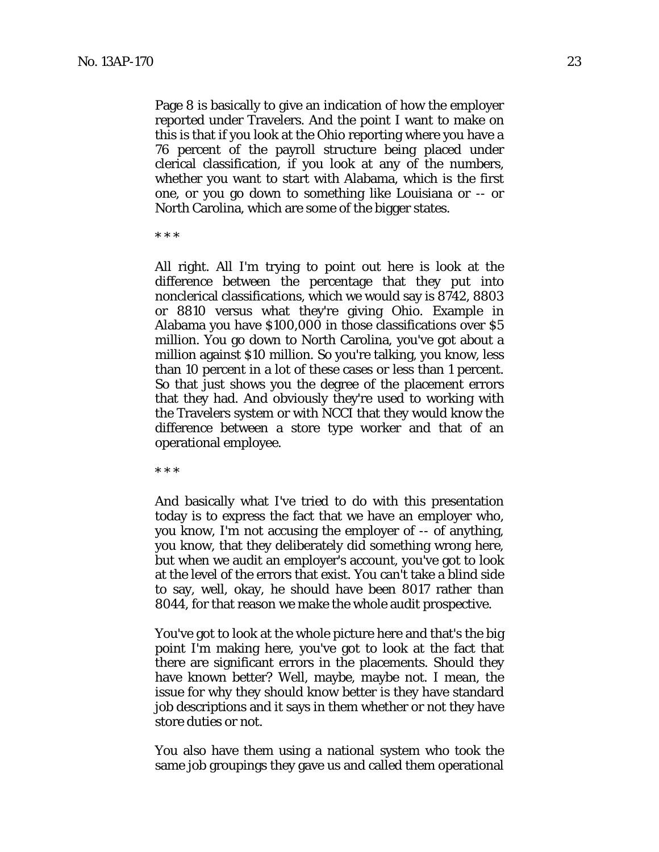Page 8 is basically to give an indication of how the employer reported under Travelers. And the point I want to make on this is that if you look at the Ohio reporting where you have a 76 percent of the payroll structure being placed under clerical classification, if you look at any of the numbers, whether you want to start with Alabama, which is the first one, or you go down to something like Louisiana or -- or North Carolina, which are some of the bigger states.

\* \* \*

All right. All I'm trying to point out here is look at the difference between the percentage that they put into nonclerical classifications, which we would say is 8742, 8803 or 8810 versus what they're giving Ohio. Example in Alabama you have \$100,000 in those classifications over \$5 million. You go down to North Carolina, you've got about a million against \$10 million. So you're talking, you know, less than 10 percent in a lot of these cases or less than 1 percent. So that just shows you the degree of the placement errors that they had. And obviously they're used to working with the Travelers system or with NCCI that they would know the difference between a store type worker and that of an operational employee.

\* \* \*

And basically what I've tried to do with this presentation today is to express the fact that we have an employer who, you know, I'm not accusing the employer of -- of anything, you know, that they deliberately did something wrong here, but when we audit an employer's account, you've got to look at the level of the errors that exist. You can't take a blind side to say, well, okay, he should have been 8017 rather than 8044, for that reason we make the whole audit prospective.

You've got to look at the whole picture here and that's the big point I'm making here, you've got to look at the fact that there are significant errors in the placements. Should they have known better? Well, maybe, maybe not. I mean, the issue for why they should know better is they have standard job descriptions and it says in them whether or not they have store duties or not.

You also have them using a national system who took the same job groupings they gave us and called them operational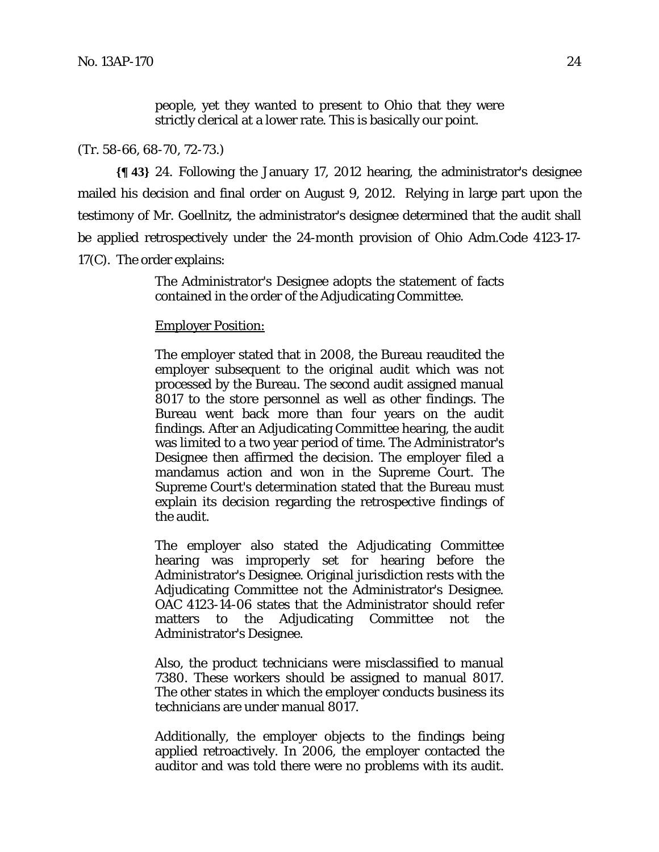people, yet they wanted to present to Ohio that they were strictly clerical at a lower rate. This is basically our point.

#### (Tr. 58-66, 68-70, 72-73.)

**{¶ 43}** 24. Following the January 17, 2012 hearing, the administrator's designee mailed his decision and final order on August 9, 2012. Relying in large part upon the testimony of Mr. Goellnitz, the administrator's designee determined that the audit shall be applied retrospectively under the 24-month provision of Ohio Adm.Code 4123-17- 17(C). The order explains:

> The Administrator's Designee adopts the statement of facts contained in the order of the Adjudicating Committee.

#### Employer Position:

The employer stated that in 2008, the Bureau reaudited the employer subsequent to the original audit which was not processed by the Bureau. The second audit assigned manual 8017 to the store personnel as well as other findings. The Bureau went back more than four years on the audit findings. After an Adjudicating Committee hearing, the audit was limited to a two year period of time. The Administrator's Designee then affirmed the decision. The employer filed a mandamus action and won in the Supreme Court. The Supreme Court's determination stated that the Bureau must explain its decision regarding the retrospective findings of the audit.

The employer also stated the Adjudicating Committee hearing was improperly set for hearing before the Administrator's Designee. Original jurisdiction rests with the Adjudicating Committee not the Administrator's Designee. OAC 4123-14-06 states that the Administrator should refer matters to the Adjudicating Committee not the Administrator's Designee.

Also, the product technicians were misclassified to manual 7380. These workers should be assigned to manual 8017. The other states in which the employer conducts business its technicians are under manual 8017.

Additionally, the employer objects to the findings being applied retroactively. In 2006, the employer contacted the auditor and was told there were no problems with its audit.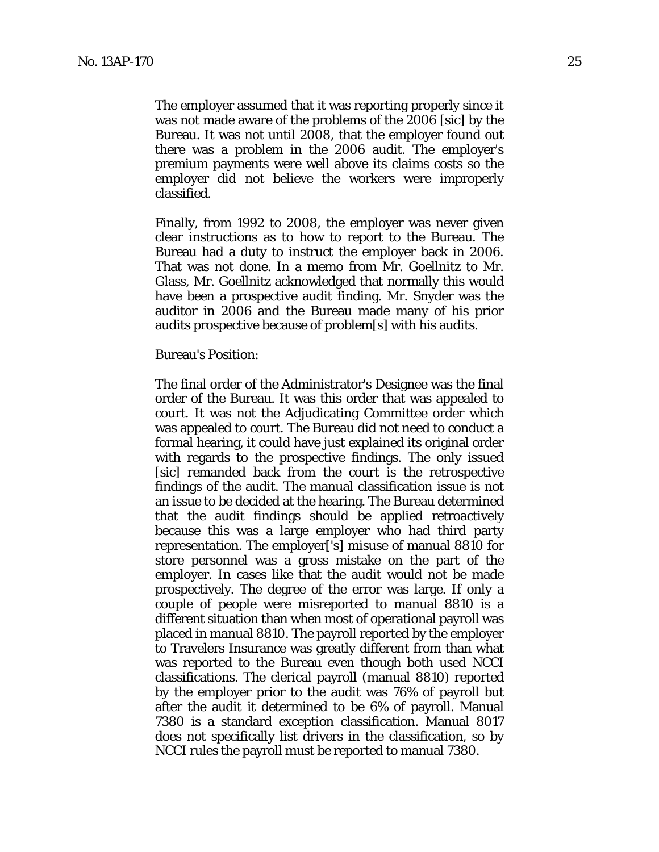The employer assumed that it was reporting properly since it was not made aware of the problems of the 2006 [sic] by the Bureau. It was not until 2008, that the employer found out there was a problem in the 2006 audit. The employer's premium payments were well above its claims costs so the employer did not believe the workers were improperly classified.

Finally, from 1992 to 2008, the employer was never given clear instructions as to how to report to the Bureau. The Bureau had a duty to instruct the employer back in 2006. That was not done. In a memo from Mr. Goellnitz to Mr. Glass, Mr. Goellnitz acknowledged that normally this would have been a prospective audit finding. Mr. Snyder was the auditor in 2006 and the Bureau made many of his prior audits prospective because of problem[s] with his audits.

#### Bureau's Position:

The final order of the Administrator's Designee was the final order of the Bureau. It was this order that was appealed to court. It was not the Adjudicating Committee order which was appealed to court. The Bureau did not need to conduct a formal hearing, it could have just explained its original order with regards to the prospective findings. The only issued [sic] remanded back from the court is the retrospective findings of the audit. The manual classification issue is not an issue to be decided at the hearing. The Bureau determined that the audit findings should be applied retroactively because this was a large employer who had third party representation. The employer['s] misuse of manual 8810 for store personnel was a gross mistake on the part of the employer. In cases like that the audit would not be made prospectively. The degree of the error was large. If only a couple of people were misreported to manual 8810 is a different situation than when most of operational payroll was placed in manual 8810. The payroll reported by the employer to Travelers Insurance was greatly different from than what was reported to the Bureau even though both used NCCI classifications. The clerical payroll (manual 8810) reported by the employer prior to the audit was 76% of payroll but after the audit it determined to be 6% of payroll. Manual 7380 is a standard exception classification. Manual 8017 does not specifically list drivers in the classification, so by NCCI rules the payroll must be reported to manual 7380.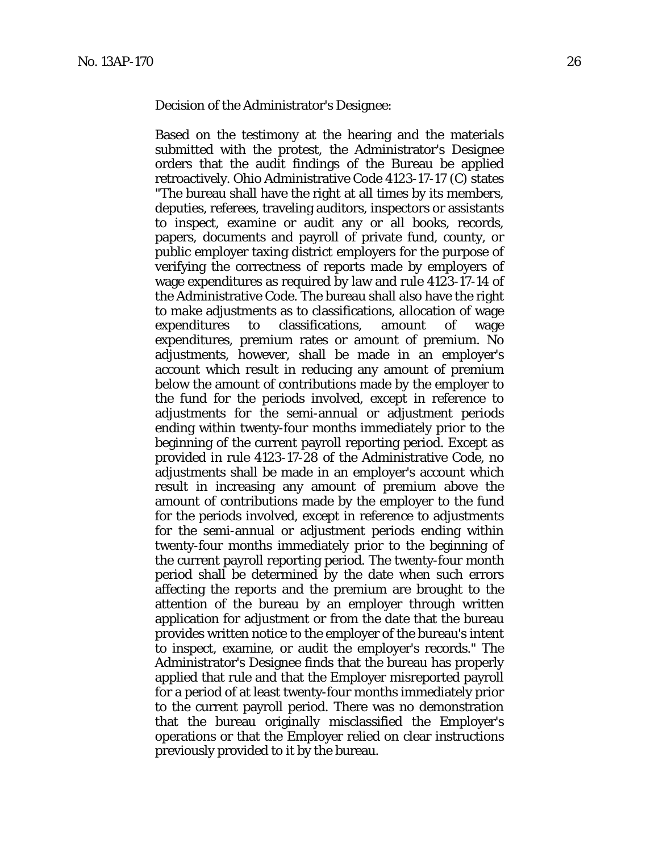Decision of the Administrator's Designee:

Based on the testimony at the hearing and the materials submitted with the protest, the Administrator's Designee orders that the audit findings of the Bureau be applied retroactively. Ohio Administrative Code 4123-17-17 (C) states "The bureau shall have the right at all times by its members, deputies, referees, traveling auditors, inspectors or assistants to inspect, examine or audit any or all books, records, papers, documents and payroll of private fund, county, or public employer taxing district employers for the purpose of verifying the correctness of reports made by employers of wage expenditures as required by law and rule 4123-17-14 of the Administrative Code. The bureau shall also have the right to make adjustments as to classifications, allocation of wage expenditures to classifications, amount of wage expenditures, premium rates or amount of premium. No adjustments, however, shall be made in an employer's account which result in reducing any amount of premium below the amount of contributions made by the employer to the fund for the periods involved, except in reference to adjustments for the semi-annual or adjustment periods ending within twenty-four months immediately prior to the beginning of the current payroll reporting period. Except as provided in rule 4123-17-28 of the Administrative Code, no adjustments shall be made in an employer's account which result in increasing any amount of premium above the amount of contributions made by the employer to the fund for the periods involved, except in reference to adjustments for the semi-annual or adjustment periods ending within twenty-four months immediately prior to the beginning of the current payroll reporting period. The twenty-four month period shall be determined by the date when such errors affecting the reports and the premium are brought to the attention of the bureau by an employer through written application for adjustment or from the date that the bureau provides written notice to the employer of the bureau's intent to inspect, examine, or audit the employer's records." The Administrator's Designee finds that the bureau has properly applied that rule and that the Employer misreported payroll for a period of at least twenty-four months immediately prior to the current payroll period. There was no demonstration that the bureau originally misclassified the Employer's operations or that the Employer relied on clear instructions previously provided to it by the bureau.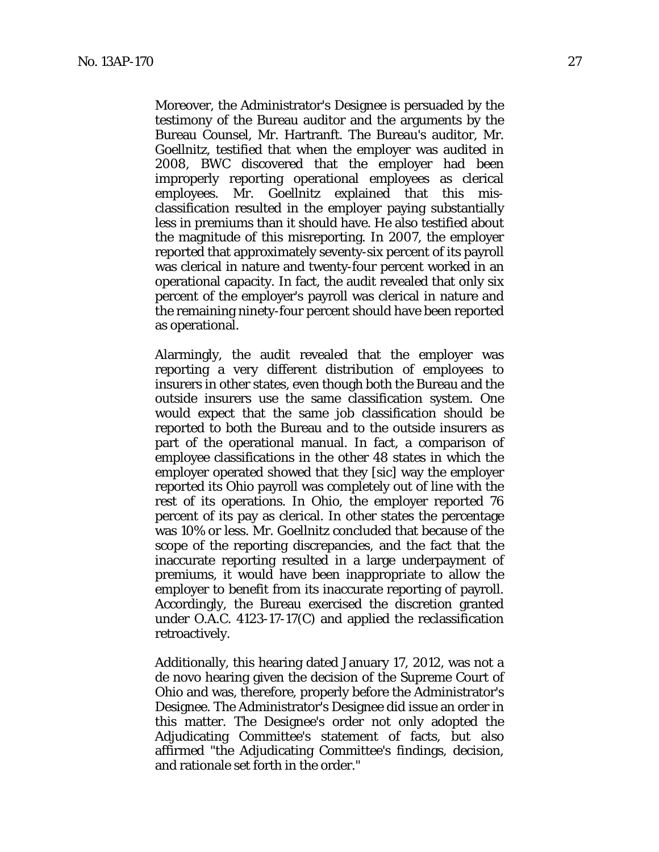Moreover, the Administrator's Designee is persuaded by the testimony of the Bureau auditor and the arguments by the Bureau Counsel, Mr. Hartranft. The Bureau's auditor, Mr. Goellnitz, testified that when the employer was audited in 2008, BWC discovered that the employer had been improperly reporting operational employees as clerical employees. Mr. Goellnitz explained that this misclassification resulted in the employer paying substantially less in premiums than it should have. He also testified about the magnitude of this misreporting. In 2007, the employer reported that approximately seventy-six percent of its payroll was clerical in nature and twenty-four percent worked in an operational capacity. In fact, the audit revealed that only six percent of the employer's payroll was clerical in nature and the remaining ninety-four percent should have been reported as operational.

Alarmingly, the audit revealed that the employer was reporting a very different distribution of employees to insurers in other states, even though both the Bureau and the outside insurers use the same classification system. One would expect that the same job classification should be reported to both the Bureau and to the outside insurers as part of the operational manual. In fact, a comparison of employee classifications in the other 48 states in which the employer operated showed that they [sic] way the employer reported its Ohio payroll was completely out of line with the rest of its operations. In Ohio, the employer reported 76 percent of its pay as clerical. In other states the percentage was 10% or less. Mr. Goellnitz concluded that because of the scope of the reporting discrepancies, and the fact that the inaccurate reporting resulted in a large underpayment of premiums, it would have been inappropriate to allow the employer to benefit from its inaccurate reporting of payroll. Accordingly, the Bureau exercised the discretion granted under O.A.C. 4123-17-17(C) and applied the reclassification retroactively.

Additionally, this hearing dated January 17, 2012, was not a de novo hearing given the decision of the Supreme Court of Ohio and was, therefore, properly before the Administrator's Designee. The Administrator's Designee did issue an order in this matter. The Designee's order not only adopted the Adjudicating Committee's statement of facts, but also affirmed "the Adjudicating Committee's findings, decision, and rationale set forth in the order."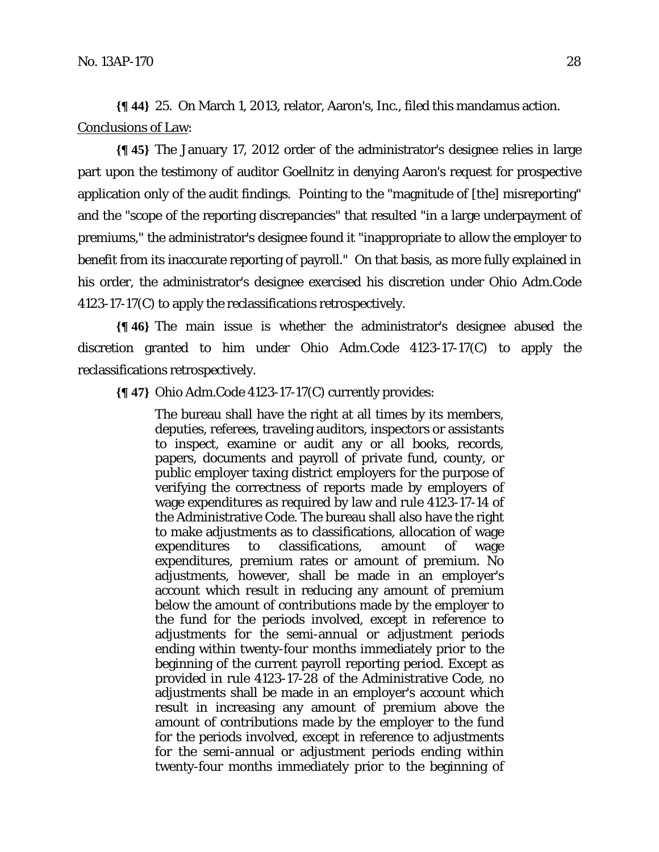**{¶ 44}** 25. On March 1, 2013, relator, Aaron's, Inc., filed this mandamus action. Conclusions of Law:

**{¶ 45}** The January 17, 2012 order of the administrator's designee relies in large part upon the testimony of auditor Goellnitz in denying Aaron's request for prospective application only of the audit findings. Pointing to the "magnitude of [the] misreporting" and the "scope of the reporting discrepancies" that resulted "in a large underpayment of premiums," the administrator's designee found it "inappropriate to allow the employer to benefit from its inaccurate reporting of payroll." On that basis, as more fully explained in his order, the administrator's designee exercised his discretion under Ohio Adm.Code 4123-17-17(C) to apply the reclassifications retrospectively.

**{¶ 46}** The main issue is whether the administrator's designee abused the discretion granted to him under Ohio Adm.Code 4123-17-17(C) to apply the reclassifications retrospectively.

**{¶ 47}** Ohio Adm.Code 4123-17-17(C) currently provides:

The bureau shall have the right at all times by its members, deputies, referees, traveling auditors, inspectors or assistants to inspect, examine or audit any or all books, records, papers, documents and payroll of private fund, county, or public employer taxing district employers for the purpose of verifying the correctness of reports made by employers of wage expenditures as required by law and rule 4123-17-14 of the Administrative Code. The bureau shall also have the right to make adjustments as to classifications, allocation of wage expenditures to classifications, amount of wage expenditures, premium rates or amount of premium. No adjustments, however, shall be made in an employer's account which result in reducing any amount of premium below the amount of contributions made by the employer to the fund for the periods involved, except in reference to adjustments for the semi-annual or adjustment periods ending within twenty-four months immediately prior to the beginning of the current payroll reporting period. Except as provided in rule 4123-17-28 of the Administrative Code, no adjustments shall be made in an employer's account which result in increasing any amount of premium above the amount of contributions made by the employer to the fund for the periods involved, except in reference to adjustments for the semi-annual or adjustment periods ending within twenty-four months immediately prior to the beginning of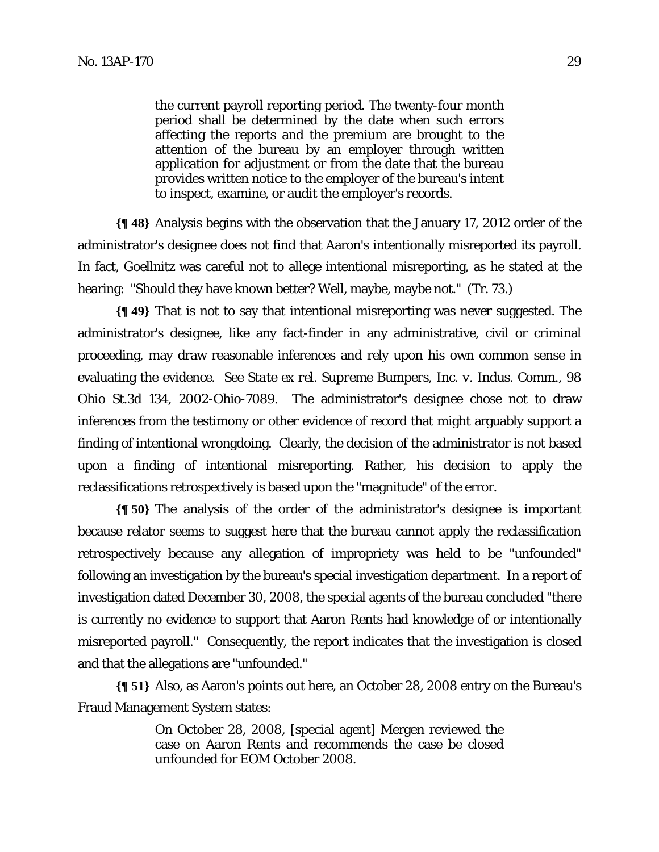the current payroll reporting period. The twenty-four month period shall be determined by the date when such errors affecting the reports and the premium are brought to the attention of the bureau by an employer through written application for adjustment or from the date that the bureau provides written notice to the employer of the bureau's intent to inspect, examine, or audit the employer's records.

**{¶ 48}** Analysis begins with the observation that the January 17, 2012 order of the administrator's designee does not find that Aaron's intentionally misreported its payroll. In fact, Goellnitz was careful not to allege intentional misreporting, as he stated at the hearing: "Should they have known better? Well, maybe, maybe not." (Tr. 73.)

**{¶ 49}** That is not to say that intentional misreporting was never suggested. The administrator's designee, like any fact-finder in any administrative, civil or criminal proceeding, may draw reasonable inferences and rely upon his own common sense in evaluating the evidence. *See State ex rel. Supreme Bumpers, Inc. v. Indus. Comm.*, 98 Ohio St.3d 134, 2002-Ohio-7089. The administrator's designee chose not to draw inferences from the testimony or other evidence of record that might arguably support a finding of intentional wrongdoing. Clearly, the decision of the administrator is not based upon a finding of intentional misreporting. Rather, his decision to apply the reclassifications retrospectively is based upon the "magnitude" of the error.

**{¶ 50}** The analysis of the order of the administrator's designee is important because relator seems to suggest here that the bureau cannot apply the reclassification retrospectively because any allegation of impropriety was held to be "unfounded" following an investigation by the bureau's special investigation department. In a report of investigation dated December 30, 2008, the special agents of the bureau concluded "there is currently no evidence to support that Aaron Rents had knowledge of or intentionally misreported payroll." Consequently, the report indicates that the investigation is closed and that the allegations are "unfounded."

**{¶ 51}** Also, as Aaron's points out here, an October 28, 2008 entry on the Bureau's Fraud Management System states:

> On October 28, 2008, [special agent] Mergen reviewed the case on Aaron Rents and recommends the case be closed unfounded for EOM October 2008.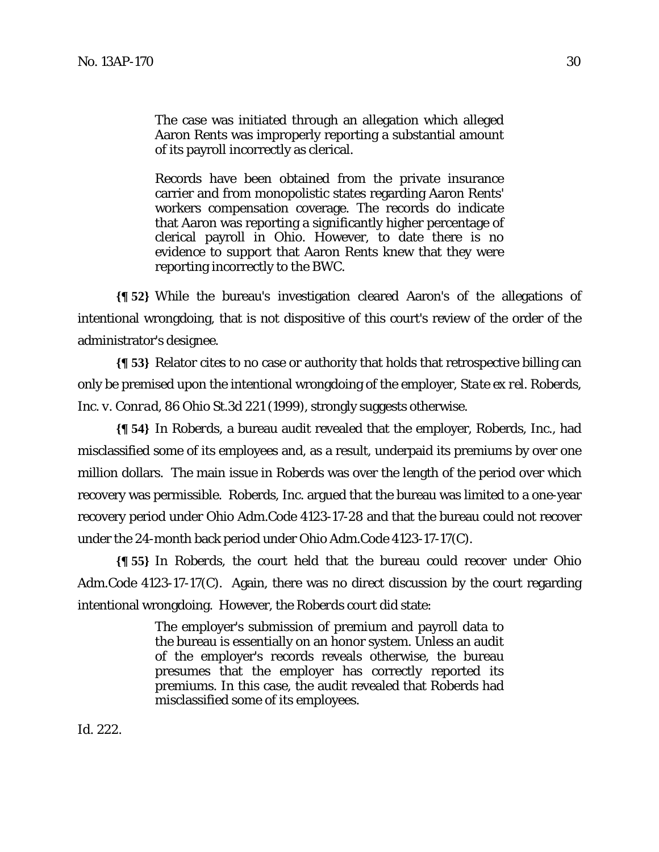The case was initiated through an allegation which alleged Aaron Rents was improperly reporting a substantial amount of its payroll incorrectly as clerical.

Records have been obtained from the private insurance carrier and from monopolistic states regarding Aaron Rents' workers compensation coverage. The records do indicate that Aaron was reporting a significantly higher percentage of clerical payroll in Ohio. However, to date there is no evidence to support that Aaron Rents knew that they were reporting incorrectly to the BWC.

**{¶ 52}** While the bureau's investigation cleared Aaron's of the allegations of intentional wrongdoing, that is not dispositive of this court's review of the order of the administrator's designee.

**{¶ 53}** Relator cites to no case or authority that holds that retrospective billing can only be premised upon the intentional wrongdoing of the employer, *State ex rel. Roberds, Inc. v. Conrad,* 86 Ohio St.3d 221 (1999), strongly suggests otherwise.

**{¶ 54}** In *Roberds*, a bureau audit revealed that the employer, Roberds, Inc., had misclassified some of its employees and, as a result, underpaid its premiums by over one million dollars. The main issue in *Roberds* was over the length of the period over which recovery was permissible. Roberds, Inc. argued that the bureau was limited to a one-year recovery period under Ohio Adm.Code 4123-17-28 and that the bureau could not recover under the 24-month back period under Ohio Adm.Code 4123-17-17(C).

**{¶ 55}** In *Roberds*, the court held that the bureau could recover under Ohio Adm.Code 4123-17-17(C). Again, there was no direct discussion by the court regarding intentional wrongdoing. However, the *Roberds* court did state:

> The employer's submission of premium and payroll data to the bureau is essentially on an honor system. Unless an audit of the employer's records reveals otherwise, the bureau presumes that the employer has correctly reported its premiums. In this case, the audit revealed that Roberds had misclassified some of its employees.

*Id.* 222.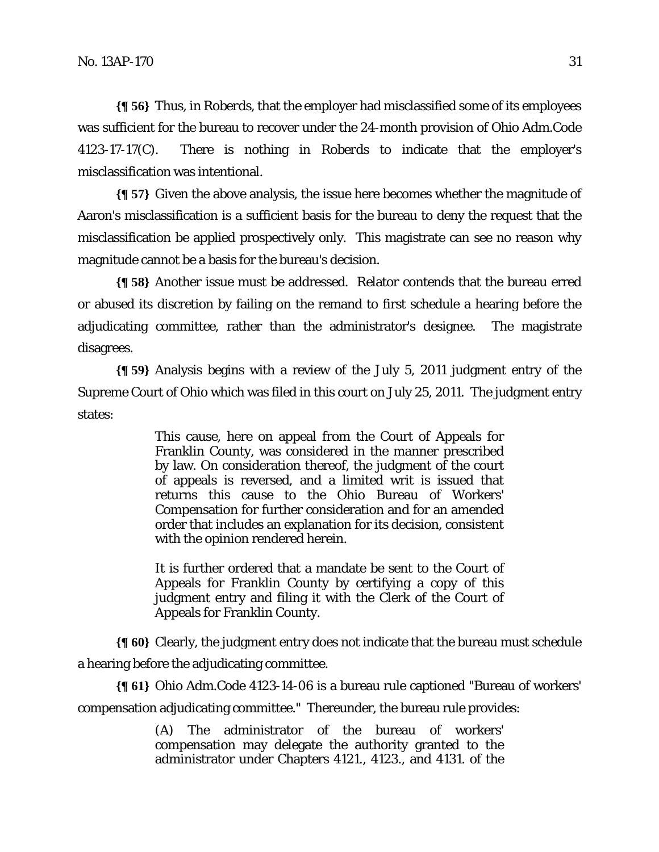**{¶ 56}** Thus, in *Roberds*, that the employer had misclassified some of its employees was sufficient for the bureau to recover under the 24-month provision of Ohio Adm.Code 4123-17-17(C). There is nothing in *Roberds* to indicate that the employer's misclassification was intentional.

**{¶ 57}** Given the above analysis, the issue here becomes whether the magnitude of Aaron's misclassification is a sufficient basis for the bureau to deny the request that the misclassification be applied prospectively only. This magistrate can see no reason why magnitude cannot be a basis for the bureau's decision.

**{¶ 58}** Another issue must be addressed. Relator contends that the bureau erred or abused its discretion by failing on the remand to first schedule a hearing before the adjudicating committee, rather than the administrator's designee. The magistrate disagrees.

**{¶ 59}** Analysis begins with a review of the July 5, 2011 judgment entry of the Supreme Court of Ohio which was filed in this court on July 25, 2011. The judgment entry states:

> This cause, here on appeal from the Court of Appeals for Franklin County, was considered in the manner prescribed by law. On consideration thereof, the judgment of the court of appeals is reversed, and a limited writ is issued that returns this cause to the Ohio Bureau of Workers' Compensation for further consideration and for an amended order that includes an explanation for its decision, consistent with the opinion rendered herein.

> It is further ordered that a mandate be sent to the Court of Appeals for Franklin County by certifying a copy of this judgment entry and filing it with the Clerk of the Court of Appeals for Franklin County.

**{¶ 60}** Clearly, the judgment entry does not indicate that the bureau must schedule a hearing before the adjudicating committee.

**{¶ 61}** Ohio Adm.Code 4123-14-06 is a bureau rule captioned "Bureau of workers' compensation adjudicating committee." Thereunder, the bureau rule provides:

> (A) The administrator of the bureau of workers' compensation may delegate the authority granted to the administrator under Chapters 4121., 4123., and 4131. of the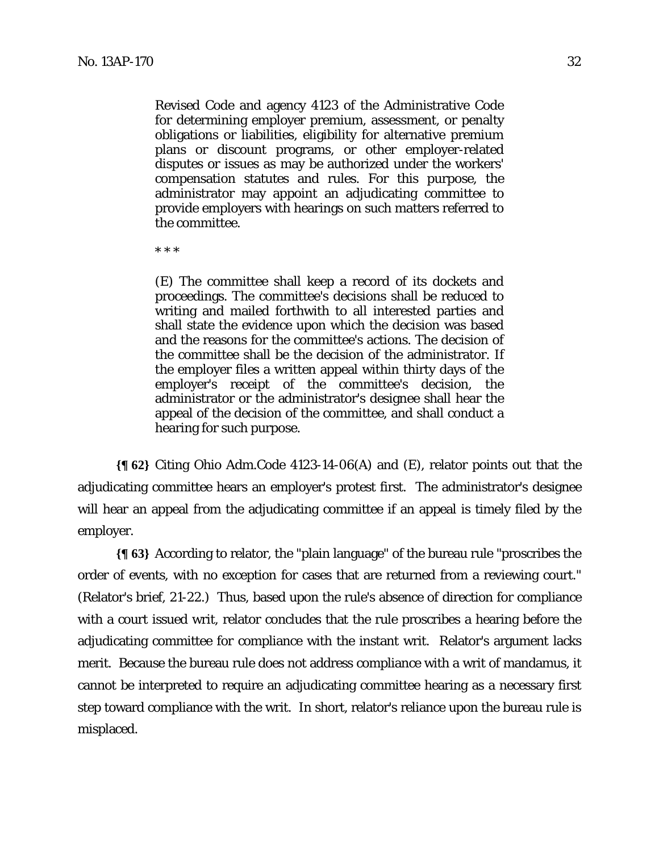Revised Code and agency 4123 of the Administrative Code for determining employer premium, assessment, or penalty obligations or liabilities, eligibility for alternative premium plans or discount programs, or other employer-related disputes or issues as may be authorized under the workers' compensation statutes and rules. For this purpose, the administrator may appoint an adjudicating committee to provide employers with hearings on such matters referred to the committee.

\* \* \*

(E) The committee shall keep a record of its dockets and proceedings. The committee's decisions shall be reduced to writing and mailed forthwith to all interested parties and shall state the evidence upon which the decision was based and the reasons for the committee's actions. The decision of the committee shall be the decision of the administrator. If the employer files a written appeal within thirty days of the employer's receipt of the committee's decision, the administrator or the administrator's designee shall hear the appeal of the decision of the committee, and shall conduct a hearing for such purpose.

**{¶ 62}** Citing Ohio Adm.Code 4123-14-06(A) and (E), relator points out that the adjudicating committee hears an employer's protest first. The administrator's designee will hear an appeal from the adjudicating committee if an appeal is timely filed by the employer.

**{¶ 63}** According to relator, the "plain language" of the bureau rule "proscribes the order of events, with no exception for cases that are returned from a reviewing court." (Relator's brief, 21-22.) Thus, based upon the rule's absence of direction for compliance with a court issued writ, relator concludes that the rule proscribes a hearing before the adjudicating committee for compliance with the instant writ. Relator's argument lacks merit. Because the bureau rule does not address compliance with a writ of mandamus, it cannot be interpreted to require an adjudicating committee hearing as a necessary first step toward compliance with the writ. In short, relator's reliance upon the bureau rule is misplaced.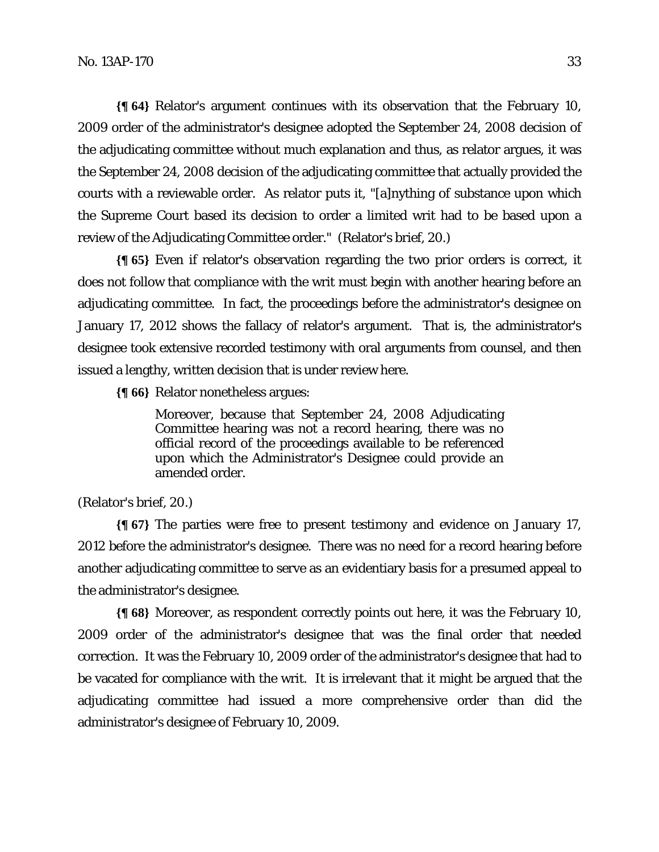**{¶ 64}** Relator's argument continues with its observation that the February 10, 2009 order of the administrator's designee adopted the September 24, 2008 decision of the adjudicating committee without much explanation and thus, as relator argues, it was the September 24, 2008 decision of the adjudicating committee that actually provided the courts with a reviewable order. As relator puts it, "[a]nything of substance upon which the Supreme Court based its decision to order a limited writ had to be based upon a review of the Adjudicating Committee order." (Relator's brief, 20.)

**{¶ 65}** Even if relator's observation regarding the two prior orders is correct, it does not follow that compliance with the writ must begin with another hearing before an adjudicating committee. In fact, the proceedings before the administrator's designee on January 17, 2012 shows the fallacy of relator's argument. That is, the administrator's designee took extensive recorded testimony with oral arguments from counsel, and then issued a lengthy, written decision that is under review here.

**{¶ 66}** Relator nonetheless argues:

Moreover, because that September 24, 2008 Adjudicating Committee hearing was not a record hearing, there was no official record of the proceedings available to be referenced upon which the Administrator's Designee could provide an amended order.

# (Relator's brief, 20.)

**{¶ 67}** The parties were free to present testimony and evidence on January 17, 2012 before the administrator's designee. There was no need for a record hearing before another adjudicating committee to serve as an evidentiary basis for a presumed appeal to the administrator's designee.

**{¶ 68}** Moreover, as respondent correctly points out here, it was the February 10, 2009 order of the administrator's designee that was the final order that needed correction. It was the February 10, 2009 order of the administrator's designee that had to be vacated for compliance with the writ. It is irrelevant that it might be argued that the adjudicating committee had issued a more comprehensive order than did the administrator's designee of February 10, 2009.